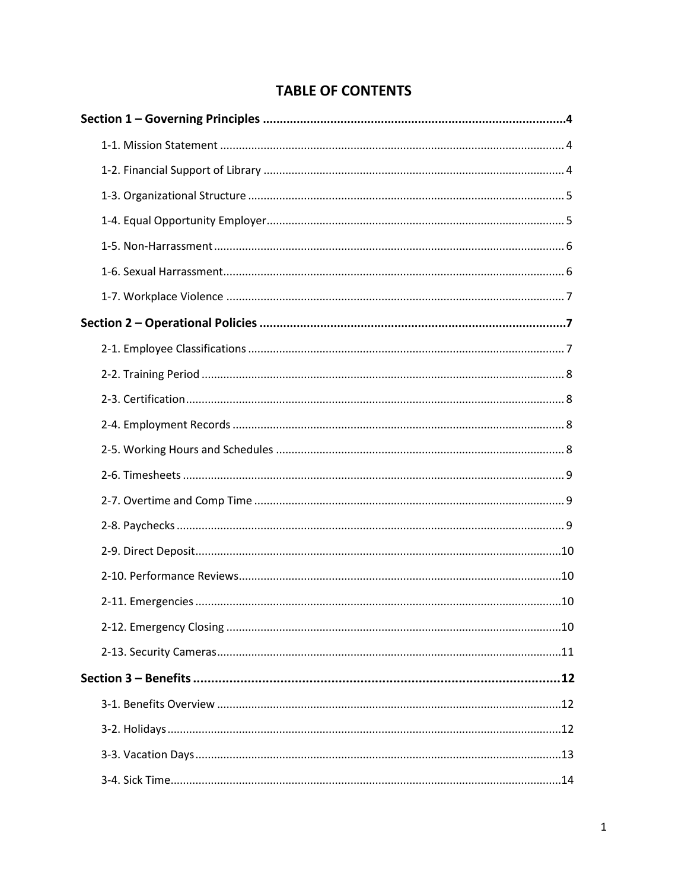# **TABLE OF CONTENTS**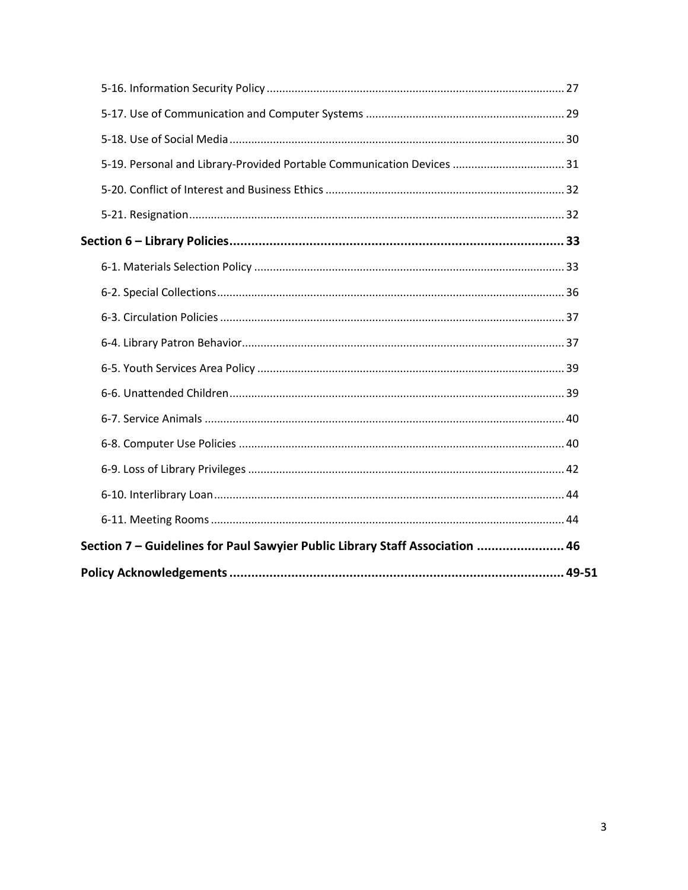| 5-19. Personal and Library-Provided Portable Communication Devices  31       |
|------------------------------------------------------------------------------|
|                                                                              |
|                                                                              |
|                                                                              |
|                                                                              |
|                                                                              |
|                                                                              |
|                                                                              |
|                                                                              |
|                                                                              |
|                                                                              |
|                                                                              |
|                                                                              |
|                                                                              |
|                                                                              |
| Section 7 - Guidelines for Paul Sawyier Public Library Staff Association  46 |
|                                                                              |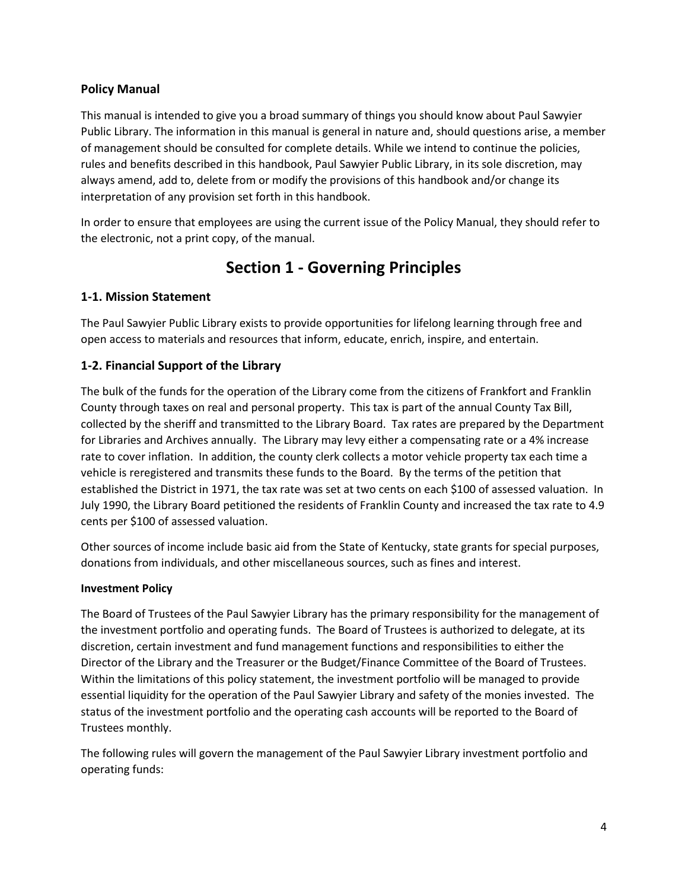### **Policy Manual**

This manual is intended to give you a broad summary of things you should know about Paul Sawyier Public Library. The information in this manual is general in nature and, should questions arise, a member of management should be consulted for complete details. While we intend to continue the policies, rules and benefits described in this handbook, Paul Sawyier Public Library, in its sole discretion, may always amend, add to, delete from or modify the provisions of this handbook and/or change its interpretation of any provision set forth in this handbook.

In order to ensure that employees are using the current issue of the Policy Manual, they should refer to the electronic, not a print copy, of the manual.

# **Section 1 - Governing Principles**

# **1-1. Mission Statement**

The Paul Sawyier Public Library exists to provide opportunities for lifelong learning through free and open access to materials and resources that inform, educate, enrich, inspire, and entertain.

## **1-2. Financial Support of the Library**

The bulk of the funds for the operation of the Library come from the citizens of Frankfort and Franklin County through taxes on real and personal property. This tax is part of the annual County Tax Bill, collected by the sheriff and transmitted to the Library Board. Tax rates are prepared by the Department for Libraries and Archives annually. The Library may levy either a compensating rate or a 4% increase rate to cover inflation. In addition, the county clerk collects a motor vehicle property tax each time a vehicle is reregistered and transmits these funds to the Board. By the terms of the petition that established the District in 1971, the tax rate was set at two cents on each \$100 of assessed valuation. In July 1990, the Library Board petitioned the residents of Franklin County and increased the tax rate to 4.9 cents per \$100 of assessed valuation.

Other sources of income include basic aid from the State of Kentucky, state grants for special purposes, donations from individuals, and other miscellaneous sources, such as fines and interest.

### **Investment Policy**

The Board of Trustees of the Paul Sawyier Library has the primary responsibility for the management of the investment portfolio and operating funds. The Board of Trustees is authorized to delegate, at its discretion, certain investment and fund management functions and responsibilities to either the Director of the Library and the Treasurer or the Budget/Finance Committee of the Board of Trustees. Within the limitations of this policy statement, the investment portfolio will be managed to provide essential liquidity for the operation of the Paul Sawyier Library and safety of the monies invested. The status of the investment portfolio and the operating cash accounts will be reported to the Board of Trustees monthly.

The following rules will govern the management of the Paul Sawyier Library investment portfolio and operating funds: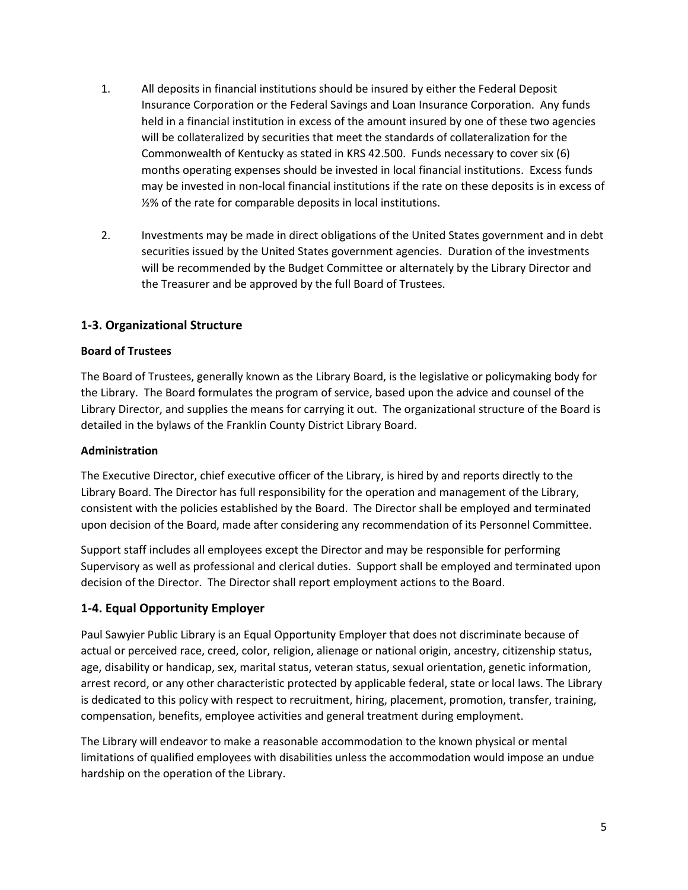- 1. All deposits in financial institutions should be insured by either the Federal Deposit Insurance Corporation or the Federal Savings and Loan Insurance Corporation. Any funds held in a financial institution in excess of the amount insured by one of these two agencies will be collateralized by securities that meet the standards of collateralization for the Commonwealth of Kentucky as stated in KRS 42.500. Funds necessary to cover six (6) months operating expenses should be invested in local financial institutions. Excess funds may be invested in non-local financial institutions if the rate on these deposits is in excess of ½% of the rate for comparable deposits in local institutions.
- 2. Investments may be made in direct obligations of the United States government and in debt securities issued by the United States government agencies. Duration of the investments will be recommended by the Budget Committee or alternately by the Library Director and the Treasurer and be approved by the full Board of Trustees.

### **1-3. Organizational Structure**

### **Board of Trustees**

The Board of Trustees, generally known as the Library Board, is the legislative or policymaking body for the Library. The Board formulates the program of service, based upon the advice and counsel of the Library Director, and supplies the means for carrying it out. The organizational structure of the Board is detailed in the bylaws of the Franklin County District Library Board.

### **Administration**

The Executive Director, chief executive officer of the Library, is hired by and reports directly to the Library Board. The Director has full responsibility for the operation and management of the Library, consistent with the policies established by the Board. The Director shall be employed and terminated upon decision of the Board, made after considering any recommendation of its Personnel Committee.

Support staff includes all employees except the Director and may be responsible for performing Supervisory as well as professional and clerical duties. Support shall be employed and terminated upon decision of the Director. The Director shall report employment actions to the Board.

### **1-4. Equal Opportunity Employer**

Paul Sawyier Public Library is an Equal Opportunity Employer that does not discriminate because of actual or perceived race, creed, color, religion, alienage or national origin, ancestry, citizenship status, age, disability or handicap, sex, marital status, veteran status, sexual orientation, genetic information, arrest record, or any other characteristic protected by applicable federal, state or local laws. The Library is dedicated to this policy with respect to recruitment, hiring, placement, promotion, transfer, training, compensation, benefits, employee activities and general treatment during employment.

The Library will endeavor to make a reasonable accommodation to the known physical or mental limitations of qualified employees with disabilities unless the accommodation would impose an undue hardship on the operation of the Library.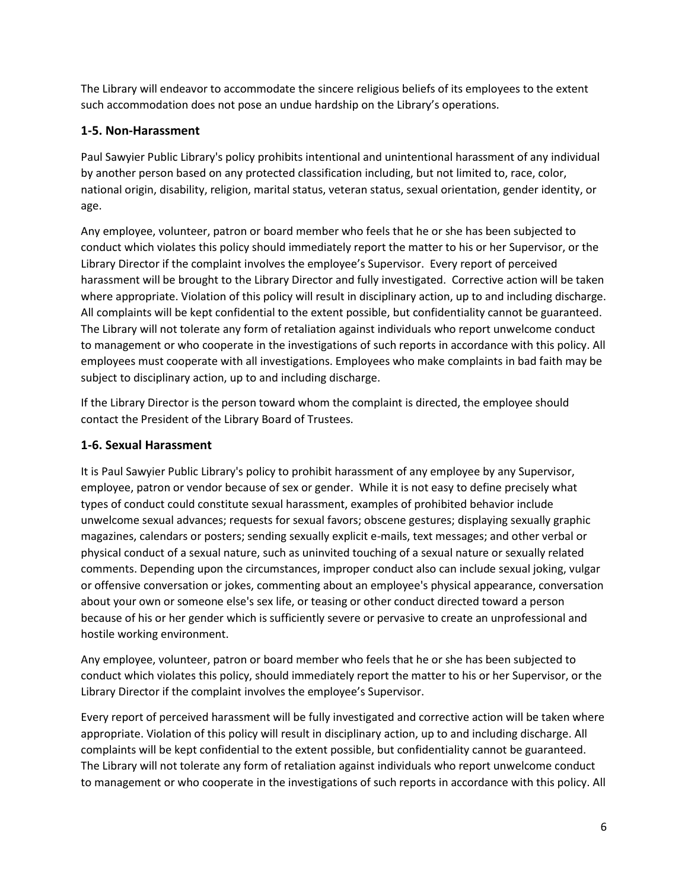The Library will endeavor to accommodate the sincere religious beliefs of its employees to the extent such accommodation does not pose an undue hardship on the Library's operations.

# **1-5. Non-Harassment**

Paul Sawyier Public Library's policy prohibits intentional and unintentional harassment of any individual by another person based on any protected classification including, but not limited to, race, color, national origin, disability, religion, marital status, veteran status, sexual orientation, gender identity, or age.

Any employee, volunteer, patron or board member who feels that he or she has been subjected to conduct which violates this policy should immediately report the matter to his or her Supervisor, or the Library Director if the complaint involves the employee's Supervisor. Every report of perceived harassment will be brought to the Library Director and fully investigated. Corrective action will be taken where appropriate. Violation of this policy will result in disciplinary action, up to and including discharge. All complaints will be kept confidential to the extent possible, but confidentiality cannot be guaranteed. The Library will not tolerate any form of retaliation against individuals who report unwelcome conduct to management or who cooperate in the investigations of such reports in accordance with this policy. All employees must cooperate with all investigations. Employees who make complaints in bad faith may be subject to disciplinary action, up to and including discharge.

If the Library Director is the person toward whom the complaint is directed, the employee should contact the President of the Library Board of Trustees.

# **1-6. Sexual Harassment**

It is Paul Sawyier Public Library's policy to prohibit harassment of any employee by any Supervisor, employee, patron or vendor because of sex or gender. While it is not easy to define precisely what types of conduct could constitute sexual harassment, examples of prohibited behavior include unwelcome sexual advances; requests for sexual favors; obscene gestures; displaying sexually graphic magazines, calendars or posters; sending sexually explicit e-mails, text messages; and other verbal or physical conduct of a sexual nature, such as uninvited touching of a sexual nature or sexually related comments. Depending upon the circumstances, improper conduct also can include sexual joking, vulgar or offensive conversation or jokes, commenting about an employee's physical appearance, conversation about your own or someone else's sex life, or teasing or other conduct directed toward a person because of his or her gender which is sufficiently severe or pervasive to create an unprofessional and hostile working environment.

Any employee, volunteer, patron or board member who feels that he or she has been subjected to conduct which violates this policy, should immediately report the matter to his or her Supervisor, or the Library Director if the complaint involves the employee's Supervisor.

Every report of perceived harassment will be fully investigated and corrective action will be taken where appropriate. Violation of this policy will result in disciplinary action, up to and including discharge. All complaints will be kept confidential to the extent possible, but confidentiality cannot be guaranteed. The Library will not tolerate any form of retaliation against individuals who report unwelcome conduct to management or who cooperate in the investigations of such reports in accordance with this policy. All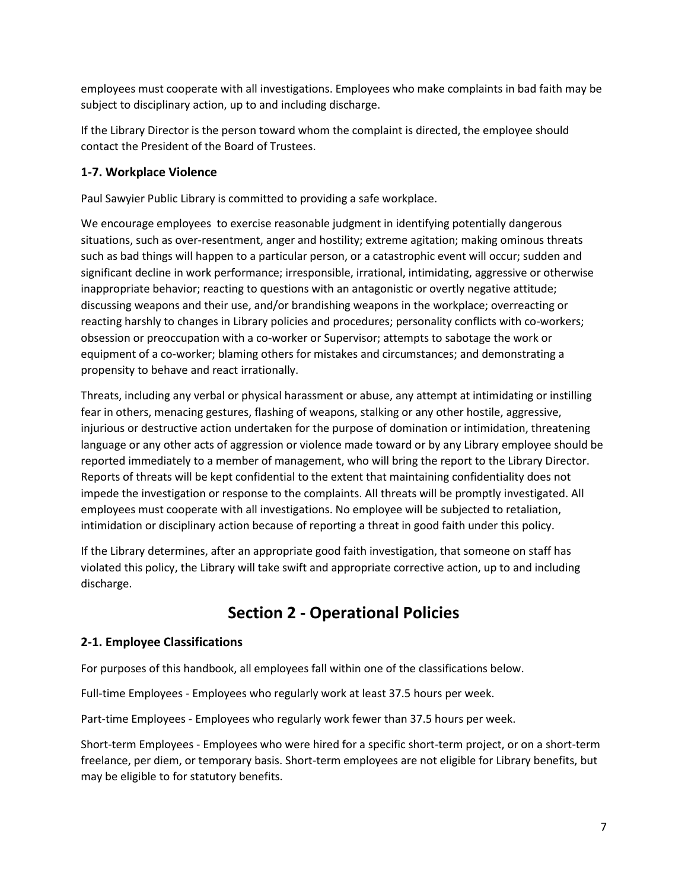employees must cooperate with all investigations. Employees who make complaints in bad faith may be subject to disciplinary action, up to and including discharge.

If the Library Director is the person toward whom the complaint is directed, the employee should contact the President of the Board of Trustees.

## **1-7. Workplace Violence**

Paul Sawyier Public Library is committed to providing a safe workplace.

We encourage employees to exercise reasonable judgment in identifying potentially dangerous situations, such as over-resentment, anger and hostility; extreme agitation; making ominous threats such as bad things will happen to a particular person, or a catastrophic event will occur; sudden and significant decline in work performance; irresponsible, irrational, intimidating, aggressive or otherwise inappropriate behavior; reacting to questions with an antagonistic or overtly negative attitude; discussing weapons and their use, and/or brandishing weapons in the workplace; overreacting or reacting harshly to changes in Library policies and procedures; personality conflicts with co-workers; obsession or preoccupation with a co-worker or Supervisor; attempts to sabotage the work or equipment of a co-worker; blaming others for mistakes and circumstances; and demonstrating a propensity to behave and react irrationally.

Threats, including any verbal or physical harassment or abuse, any attempt at intimidating or instilling fear in others, menacing gestures, flashing of weapons, stalking or any other hostile, aggressive, injurious or destructive action undertaken for the purpose of domination or intimidation, threatening language or any other acts of aggression or violence made toward or by any Library employee should be reported immediately to a member of management, who will bring the report to the Library Director. Reports of threats will be kept confidential to the extent that maintaining confidentiality does not impede the investigation or response to the complaints. All threats will be promptly investigated. All employees must cooperate with all investigations. No employee will be subjected to retaliation, intimidation or disciplinary action because of reporting a threat in good faith under this policy.

If the Library determines, after an appropriate good faith investigation, that someone on staff has violated this policy, the Library will take swift and appropriate corrective action, up to and including discharge.

# **Section 2 - Operational Policies**

# **2-1. Employee Classifications**

For purposes of this handbook, all employees fall within one of the classifications below.

Full-time Employees - Employees who regularly work at least 37.5 hours per week.

Part-time Employees - Employees who regularly work fewer than 37.5 hours per week.

Short-term Employees - Employees who were hired for a specific short-term project, or on a short-term freelance, per diem, or temporary basis. Short-term employees are not eligible for Library benefits, but may be eligible to for statutory benefits.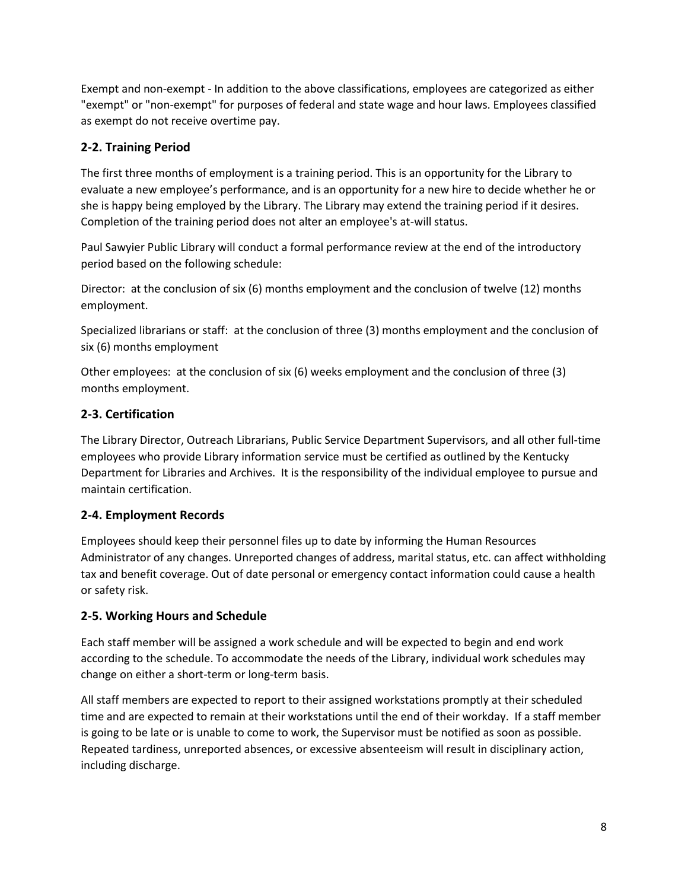Exempt and non-exempt - In addition to the above classifications, employees are categorized as either "exempt" or "non-exempt" for purposes of federal and state wage and hour laws. Employees classified as exempt do not receive overtime pay.

# **2-2. Training Period**

The first three months of employment is a training period. This is an opportunity for the Library to evaluate a new employee's performance, and is an opportunity for a new hire to decide whether he or she is happy being employed by the Library. The Library may extend the training period if it desires. Completion of the training period does not alter an employee's at-will status.

Paul Sawyier Public Library will conduct a formal performance review at the end of the introductory period based on the following schedule:

Director: at the conclusion of six (6) months employment and the conclusion of twelve (12) months employment.

Specialized librarians or staff: at the conclusion of three (3) months employment and the conclusion of six (6) months employment

Other employees: at the conclusion of six (6) weeks employment and the conclusion of three (3) months employment.

# **2-3. Certification**

The Library Director, Outreach Librarians, Public Service Department Supervisors, and all other full-time employees who provide Library information service must be certified as outlined by the Kentucky Department for Libraries and Archives. It is the responsibility of the individual employee to pursue and maintain certification.

# **2-4. Employment Records**

Employees should keep their personnel files up to date by informing the Human Resources Administrator of any changes. Unreported changes of address, marital status, etc. can affect withholding tax and benefit coverage. Out of date personal or emergency contact information could cause a health or safety risk.

# **2-5. Working Hours and Schedule**

Each staff member will be assigned a work schedule and will be expected to begin and end work according to the schedule. To accommodate the needs of the Library, individual work schedules may change on either a short-term or long-term basis.

All staff members are expected to report to their assigned workstations promptly at their scheduled time and are expected to remain at their workstations until the end of their workday. If a staff member is going to be late or is unable to come to work, the Supervisor must be notified as soon as possible. Repeated tardiness, unreported absences, or excessive absenteeism will result in disciplinary action, including discharge.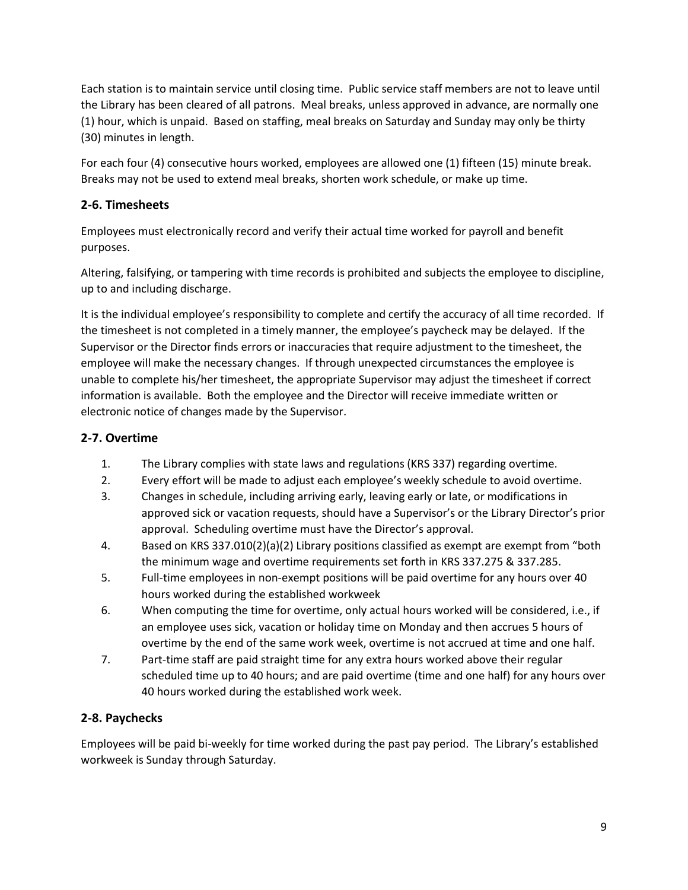Each station is to maintain service until closing time. Public service staff members are not to leave until the Library has been cleared of all patrons. Meal breaks, unless approved in advance, are normally one (1) hour, which is unpaid. Based on staffing, meal breaks on Saturday and Sunday may only be thirty (30) minutes in length.

For each four (4) consecutive hours worked, employees are allowed one (1) fifteen (15) minute break. Breaks may not be used to extend meal breaks, shorten work schedule, or make up time.

# **2-6. Timesheets**

Employees must electronically record and verify their actual time worked for payroll and benefit purposes.

Altering, falsifying, or tampering with time records is prohibited and subjects the employee to discipline, up to and including discharge.

It is the individual employee's responsibility to complete and certify the accuracy of all time recorded. If the timesheet is not completed in a timely manner, the employee's paycheck may be delayed. If the Supervisor or the Director finds errors or inaccuracies that require adjustment to the timesheet, the employee will make the necessary changes. If through unexpected circumstances the employee is unable to complete his/her timesheet, the appropriate Supervisor may adjust the timesheet if correct information is available. Both the employee and the Director will receive immediate written or electronic notice of changes made by the Supervisor.

# **2-7. Overtime**

- 1. The Library complies with state laws and regulations (KRS 337) regarding overtime.
- 2. Every effort will be made to adjust each employee's weekly schedule to avoid overtime.
- 3. Changes in schedule, including arriving early, leaving early or late, or modifications in approved sick or vacation requests, should have a Supervisor's or the Library Director's prior approval. Scheduling overtime must have the Director's approval.
- 4. Based on KRS 337.010(2)(a)(2) Library positions classified as exempt are exempt from "both the minimum wage and overtime requirements set forth in KRS 337.275 & 337.285.
- 5. Full-time employees in non-exempt positions will be paid overtime for any hours over 40 hours worked during the established workweek
- 6. When computing the time for overtime, only actual hours worked will be considered, i.e., if an employee uses sick, vacation or holiday time on Monday and then accrues 5 hours of overtime by the end of the same work week, overtime is not accrued at time and one half.
- 7. Part-time staff are paid straight time for any extra hours worked above their regular scheduled time up to 40 hours; and are paid overtime (time and one half) for any hours over 40 hours worked during the established work week.

# **2-8. Paychecks**

Employees will be paid bi-weekly for time worked during the past pay period. The Library's established workweek is Sunday through Saturday.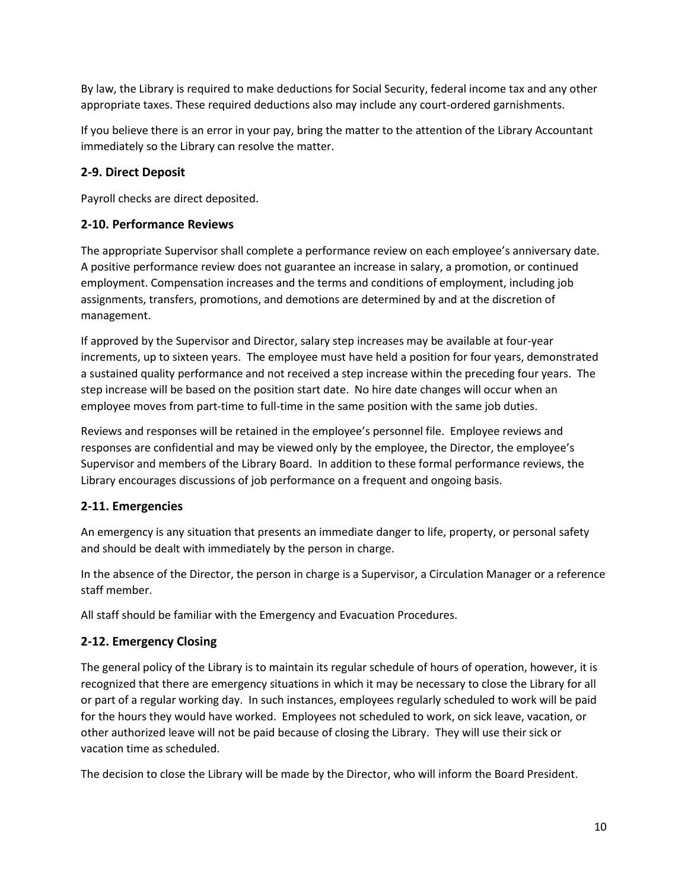By law, the Library is required to make deductions for Social Security, federal income tax and any other appropriate taxes. These required deductions also may include any court-ordered garnishments.

If you believe there is an error in your pay, bring the matter to the attention of the Library Accountant immediately so the Library can resolve the matter.

# **2-9. Direct Deposit**

Payroll checks are direct deposited.

## **2-10. Performance Reviews**

The appropriate Supervisor shall complete a performance review on each employee's anniversary date. A positive performance review does not guarantee an increase in salary, a promotion, or continued employment. Compensation increases and the terms and conditions of employment, including job assignments, transfers, promotions, and demotions are determined by and at the discretion of management.

If approved by the Supervisor and Director, salary step increases may be available at four-year increments, up to sixteen years. The employee must have held a position for four years, demonstrated a sustained quality performance and not received a step increase within the preceding four years. The step increase will be based on the position start date. No hire date changes will occur when an employee moves from part-time to full-time in the same position with the same job duties.

Reviews and responses will be retained in the employee's personnel file. Employee reviews and responses are confidential and may be viewed only by the employee, the Director, the employee's Supervisor and members of the Library Board. In addition to these formal performance reviews, the Library encourages discussions of job performance on a frequent and ongoing basis.

# **2-11. Emergencies**

An emergency is any situation that presents an immediate danger to life, property, or personal safety and should be dealt with immediately by the person in charge.

In the absence of the Director, the person in charge is a Supervisor, a Circulation Manager or a reference staff member.

All staff should be familiar with the Emergency and Evacuation Procedures.

# **2-12. Emergency Closing**

The general policy of the Library is to maintain its regular schedule of hours of operation, however, it is recognized that there are emergency situations in which it may be necessary to close the Library for all or part of a regular working day. In such instances, employees regularly scheduled to work will be paid for the hours they would have worked. Employees not scheduled to work, on sick leave, vacation, or other authorized leave will not be paid because of closing the Library. They will use their sick or vacation time as scheduled.

The decision to close the Library will be made by the Director, who will inform the Board President.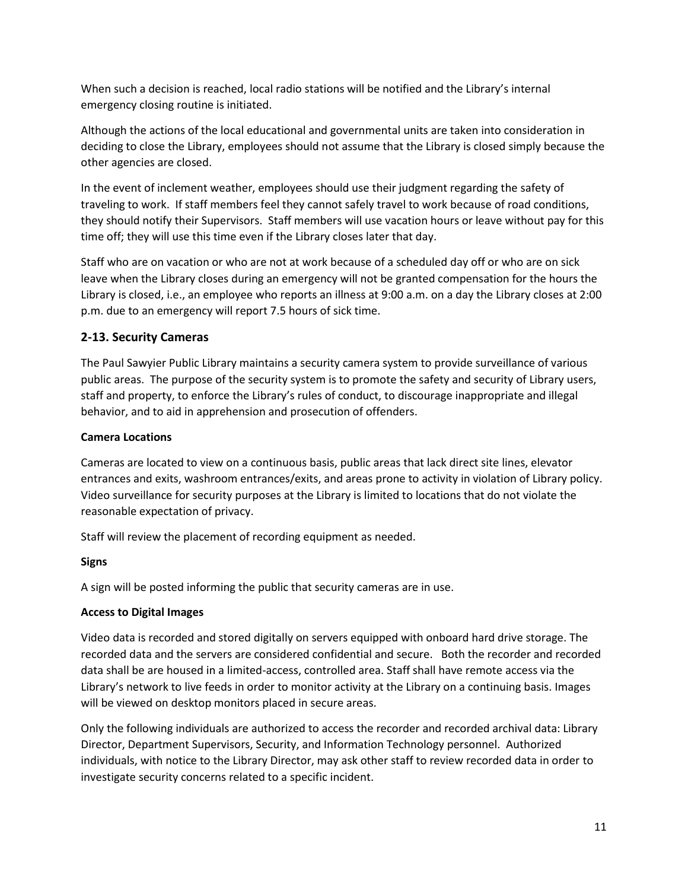When such a decision is reached, local radio stations will be notified and the Library's internal emergency closing routine is initiated.

Although the actions of the local educational and governmental units are taken into consideration in deciding to close the Library, employees should not assume that the Library is closed simply because the other agencies are closed.

In the event of inclement weather, employees should use their judgment regarding the safety of traveling to work. If staff members feel they cannot safely travel to work because of road conditions, they should notify their Supervisors. Staff members will use vacation hours or leave without pay for this time off; they will use this time even if the Library closes later that day.

Staff who are on vacation or who are not at work because of a scheduled day off or who are on sick leave when the Library closes during an emergency will not be granted compensation for the hours the Library is closed, i.e., an employee who reports an illness at 9:00 a.m. on a day the Library closes at 2:00 p.m. due to an emergency will report 7.5 hours of sick time.

## **2-13. Security Cameras**

The Paul Sawyier Public Library maintains a security camera system to provide surveillance of various public areas. The purpose of the security system is to promote the safety and security of Library users, staff and property, to enforce the Library's rules of conduct, to discourage inappropriate and illegal behavior, and to aid in apprehension and prosecution of offenders.

### **Camera Locations**

Cameras are located to view on a continuous basis, public areas that lack direct site lines, elevator entrances and exits, washroom entrances/exits, and areas prone to activity in violation of Library policy. Video surveillance for security purposes at the Library is limited to locations that do not violate the reasonable expectation of privacy.

Staff will review the placement of recording equipment as needed.

### **Signs**

A sign will be posted informing the public that security cameras are in use.

### **Access to Digital Images**

Video data is recorded and stored digitally on servers equipped with onboard hard drive storage. The recorded data and the servers are considered confidential and secure. Both the recorder and recorded data shall be are housed in a limited-access, controlled area. Staff shall have remote access via the Library's network to live feeds in order to monitor activity at the Library on a continuing basis. Images will be viewed on desktop monitors placed in secure areas.

Only the following individuals are authorized to access the recorder and recorded archival data: Library Director, Department Supervisors, Security, and Information Technology personnel. Authorized individuals, with notice to the Library Director, may ask other staff to review recorded data in order to investigate security concerns related to a specific incident.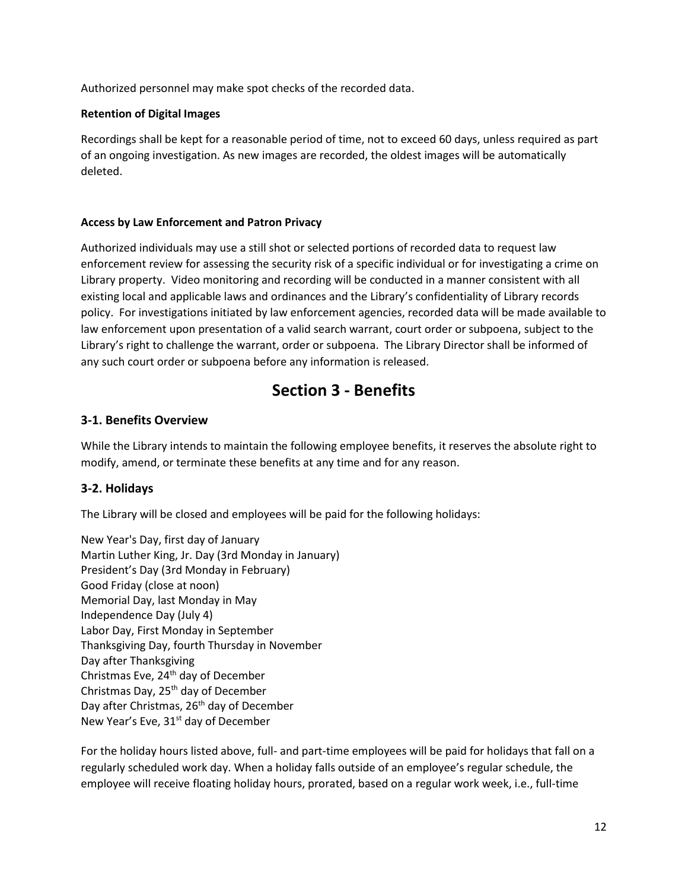Authorized personnel may make spot checks of the recorded data.

### **Retention of Digital Images**

Recordings shall be kept for a reasonable period of time, not to exceed 60 days, unless required as part of an ongoing investigation. As new images are recorded, the oldest images will be automatically deleted.

### **Access by Law Enforcement and Patron Privacy**

Authorized individuals may use a still shot or selected portions of recorded data to request law enforcement review for assessing the security risk of a specific individual or for investigating a crime on Library property. Video monitoring and recording will be conducted in a manner consistent with all existing local and applicable laws and ordinances and the Library's confidentiality of Library records policy. For investigations initiated by law enforcement agencies, recorded data will be made available to law enforcement upon presentation of a valid search warrant, court order or subpoena, subject to the Library's right to challenge the warrant, order or subpoena. The Library Director shall be informed of any such court order or subpoena before any information is released.

# **Section 3 - Benefits**

## **3-1. Benefits Overview**

While the Library intends to maintain the following employee benefits, it reserves the absolute right to modify, amend, or terminate these benefits at any time and for any reason.

# **3-2. Holidays**

The Library will be closed and employees will be paid for the following holidays:

New Year's Day, first day of January Martin Luther King, Jr. Day (3rd Monday in January) President's Day (3rd Monday in February) Good Friday (close at noon) Memorial Day, last Monday in May Independence Day (July 4) Labor Day, First Monday in September Thanksgiving Day, fourth Thursday in November Day after Thanksgiving Christmas Eve, 24th day of December Christmas Day, 25<sup>th</sup> day of December Day after Christmas, 26<sup>th</sup> day of December New Year's Eve, 31<sup>st</sup> day of December

For the holiday hours listed above, full- and part-time employees will be paid for holidays that fall on a regularly scheduled work day. When a holiday falls outside of an employee's regular schedule, the employee will receive floating holiday hours, prorated, based on a regular work week, i.e., full-time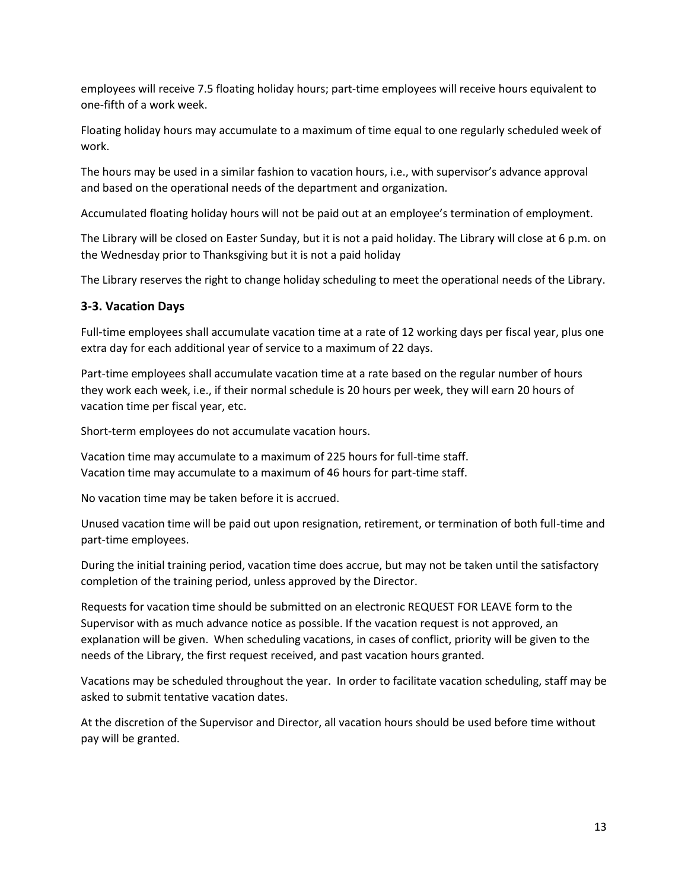employees will receive 7.5 floating holiday hours; part-time employees will receive hours equivalent to one-fifth of a work week.

Floating holiday hours may accumulate to a maximum of time equal to one regularly scheduled week of work.

The hours may be used in a similar fashion to vacation hours, i.e., with supervisor's advance approval and based on the operational needs of the department and organization.

Accumulated floating holiday hours will not be paid out at an employee's termination of employment.

The Library will be closed on Easter Sunday, but it is not a paid holiday. The Library will close at 6 p.m. on the Wednesday prior to Thanksgiving but it is not a paid holiday

The Library reserves the right to change holiday scheduling to meet the operational needs of the Library.

### **3-3. Vacation Days**

Full-time employees shall accumulate vacation time at a rate of 12 working days per fiscal year, plus one extra day for each additional year of service to a maximum of 22 days.

Part-time employees shall accumulate vacation time at a rate based on the regular number of hours they work each week, i.e., if their normal schedule is 20 hours per week, they will earn 20 hours of vacation time per fiscal year, etc.

Short-term employees do not accumulate vacation hours.

Vacation time may accumulate to a maximum of 225 hours for full-time staff. Vacation time may accumulate to a maximum of 46 hours for part-time staff.

No vacation time may be taken before it is accrued.

Unused vacation time will be paid out upon resignation, retirement, or termination of both full-time and part-time employees.

During the initial training period, vacation time does accrue, but may not be taken until the satisfactory completion of the training period, unless approved by the Director.

Requests for vacation time should be submitted on an electronic REQUEST FOR LEAVE form to the Supervisor with as much advance notice as possible. If the vacation request is not approved, an explanation will be given. When scheduling vacations, in cases of conflict, priority will be given to the needs of the Library, the first request received, and past vacation hours granted.

Vacations may be scheduled throughout the year. In order to facilitate vacation scheduling, staff may be asked to submit tentative vacation dates.

At the discretion of the Supervisor and Director, all vacation hours should be used before time without pay will be granted.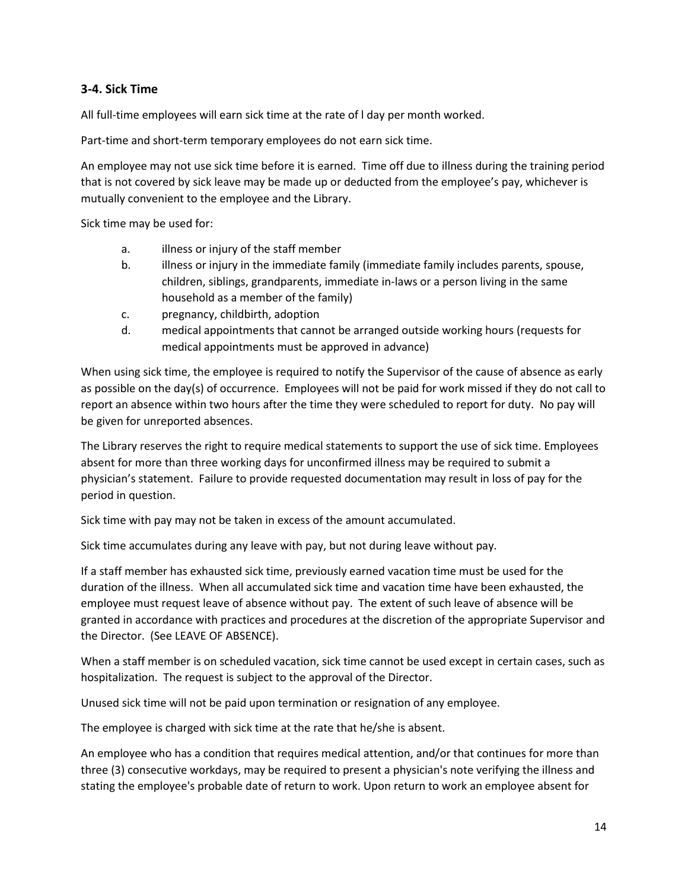## **3-4. Sick Time**

All full-time employees will earn sick time at the rate of l day per month worked.

Part-time and short-term temporary employees do not earn sick time.

An employee may not use sick time before it is earned. Time off due to illness during the training period that is not covered by sick leave may be made up or deducted from the employee's pay, whichever is mutually convenient to the employee and the Library.

Sick time may be used for:

- a. illness or injury of the staff member
- b. illness or injury in the immediate family (immediate family includes parents, spouse, children, siblings, grandparents, immediate in-laws or a person living in the same household as a member of the family)
- c. pregnancy, childbirth, adoption
- d. medical appointments that cannot be arranged outside working hours (requests for medical appointments must be approved in advance)

When using sick time, the employee is required to notify the Supervisor of the cause of absence as early as possible on the day(s) of occurrence. Employees will not be paid for work missed if they do not call to report an absence within two hours after the time they were scheduled to report for duty. No pay will be given for unreported absences.

The Library reserves the right to require medical statements to support the use of sick time. Employees absent for more than three working days for unconfirmed illness may be required to submit a physician's statement. Failure to provide requested documentation may result in loss of pay for the period in question.

Sick time with pay may not be taken in excess of the amount accumulated.

Sick time accumulates during any leave with pay, but not during leave without pay.

If a staff member has exhausted sick time, previously earned vacation time must be used for the duration of the illness. When all accumulated sick time and vacation time have been exhausted, the employee must request leave of absence without pay. The extent of such leave of absence will be granted in accordance with practices and procedures at the discretion of the appropriate Supervisor and the Director. (See LEAVE OF ABSENCE).

When a staff member is on scheduled vacation, sick time cannot be used except in certain cases, such as hospitalization. The request is subject to the approval of the Director.

Unused sick time will not be paid upon termination or resignation of any employee.

The employee is charged with sick time at the rate that he/she is absent.

An employee who has a condition that requires medical attention, and/or that continues for more than three (3) consecutive workdays, may be required to present a physician's note verifying the illness and stating the employee's probable date of return to work. Upon return to work an employee absent for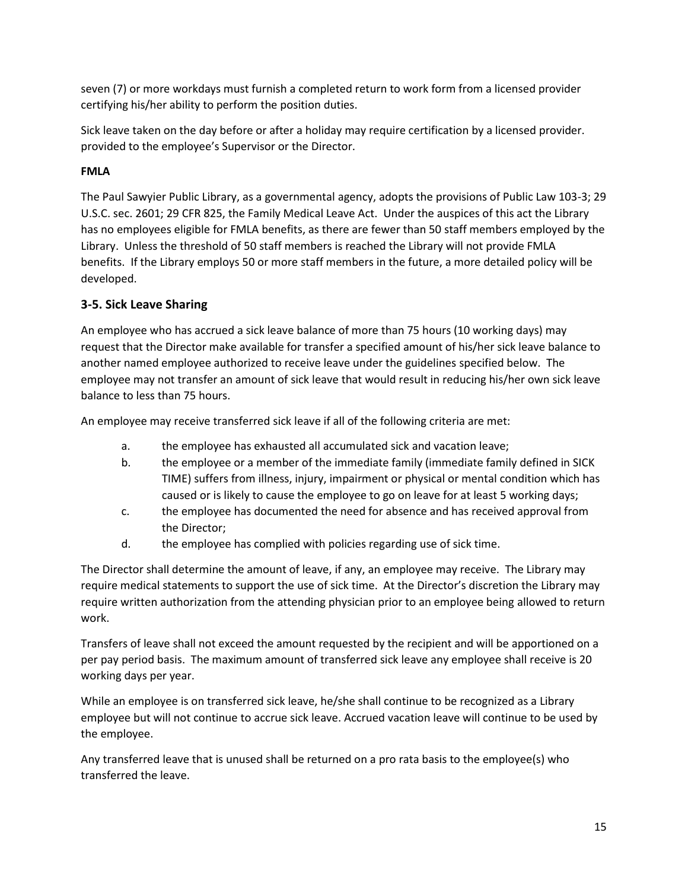seven (7) or more workdays must furnish a completed return to work form from a licensed provider certifying his/her ability to perform the position duties.

Sick leave taken on the day before or after a holiday may require certification by a licensed provider. provided to the employee's Supervisor or the Director.

## **FMLA**

The Paul Sawyier Public Library, as a governmental agency, adopts the provisions of Public Law 103-3; 29 U.S.C. sec. 2601; 29 CFR 825, the Family Medical Leave Act. Under the auspices of this act the Library has no employees eligible for FMLA benefits, as there are fewer than 50 staff members employed by the Library. Unless the threshold of 50 staff members is reached the Library will not provide FMLA benefits. If the Library employs 50 or more staff members in the future, a more detailed policy will be developed.

## **3-5. Sick Leave Sharing**

An employee who has accrued a sick leave balance of more than 75 hours (10 working days) may request that the Director make available for transfer a specified amount of his/her sick leave balance to another named employee authorized to receive leave under the guidelines specified below. The employee may not transfer an amount of sick leave that would result in reducing his/her own sick leave balance to less than 75 hours.

An employee may receive transferred sick leave if all of the following criteria are met:

- a. the employee has exhausted all accumulated sick and vacation leave;
- b. the employee or a member of the immediate family (immediate family defined in SICK TIME) suffers from illness, injury, impairment or physical or mental condition which has caused or is likely to cause the employee to go on leave for at least 5 working days;
- c. the employee has documented the need for absence and has received approval from the Director;
- d. the employee has complied with policies regarding use of sick time.

The Director shall determine the amount of leave, if any, an employee may receive. The Library may require medical statements to support the use of sick time. At the Director's discretion the Library may require written authorization from the attending physician prior to an employee being allowed to return work.

Transfers of leave shall not exceed the amount requested by the recipient and will be apportioned on a per pay period basis. The maximum amount of transferred sick leave any employee shall receive is 20 working days per year.

While an employee is on transferred sick leave, he/she shall continue to be recognized as a Library employee but will not continue to accrue sick leave. Accrued vacation leave will continue to be used by the employee.

Any transferred leave that is unused shall be returned on a pro rata basis to the employee(s) who transferred the leave.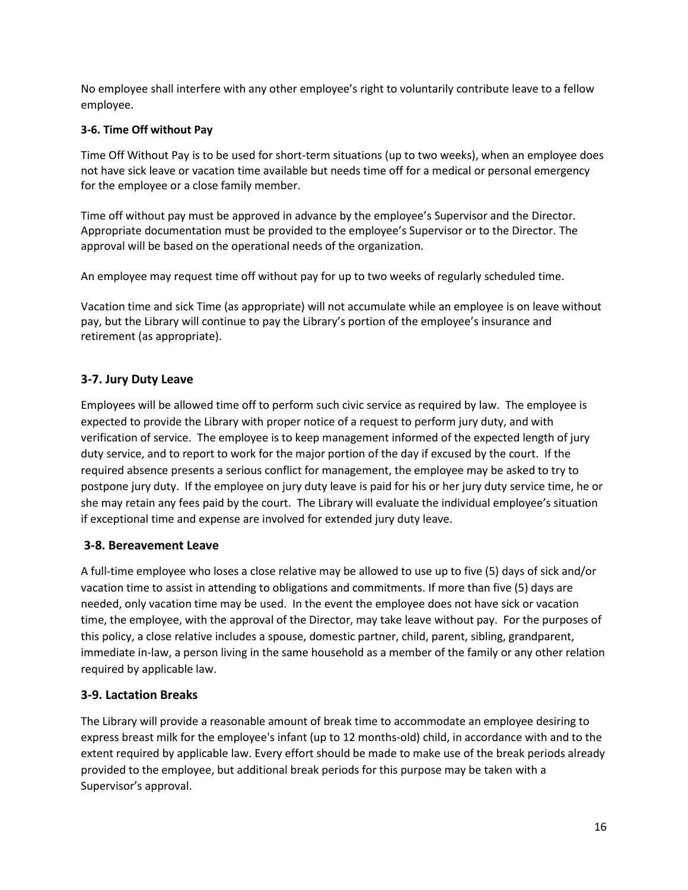No employee shall interfere with any other employee's right to voluntarily contribute leave to a fellow employee.

### **3-6. Time Off without Pay**

Time Off Without Pay is to be used for short-term situations (up to two weeks), when an employee does not have sick leave or vacation time available but needs time off for a medical or personal emergency for the employee or a close family member.

Time off without pay must be approved in advance by the employee's Supervisor and the Director. Appropriate documentation must be provided to the employee's Supervisor or to the Director. The approval will be based on the operational needs of the organization.

An employee may request time off without pay for up to two weeks of regularly scheduled time.

Vacation time and sick Time (as appropriate) will not accumulate while an employee is on leave without pay, but the Library will continue to pay the Library's portion of the employee's insurance and retirement (as appropriate).

# **3-7. Jury Duty Leave**

Employees will be allowed time off to perform such civic service as required by law. The employee is expected to provide the Library with proper notice of a request to perform jury duty, and with verification of service. The employee is to keep management informed of the expected length of jury duty service, and to report to work for the major portion of the day if excused by the court. If the required absence presents a serious conflict for management, the employee may be asked to try to postpone jury duty. If the employee on jury duty leave is paid for his or her jury duty service time, he or she may retain any fees paid by the court. The Library will evaluate the individual employee's situation if exceptional time and expense are involved for extended jury duty leave.

# **3-8. Bereavement Leave**

A full-time employee who loses a close relative may be allowed to use up to five (5) days of sick and/or vacation time to assist in attending to obligations and commitments. If more than five (5) days are needed, only vacation time may be used. In the event the employee does not have sick or vacation time, the employee, with the approval of the Director, may take leave without pay. For the purposes of this policy, a close relative includes a spouse, domestic partner, child, parent, sibling, grandparent, immediate in-law, a person living in the same household as a member of the family or any other relation required by applicable law.

# **3-9. Lactation Breaks**

The Library will provide a reasonable amount of break time to accommodate an employee desiring to express breast milk for the employee's infant (up to 12 months-old) child, in accordance with and to the extent required by applicable law. Every effort should be made to make use of the break periods already provided to the employee, but additional break periods for this purpose may be taken with a Supervisor's approval.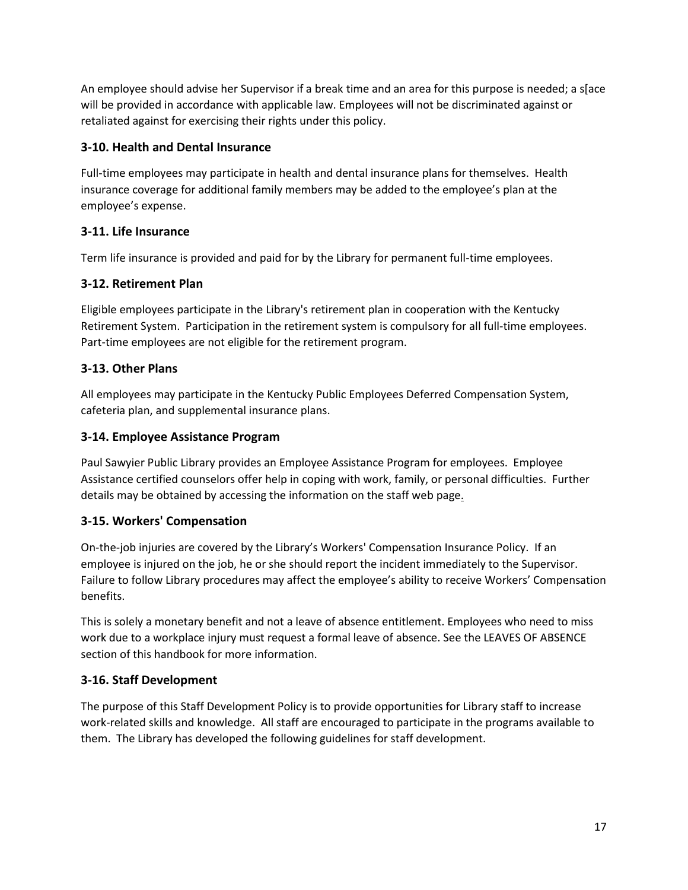An employee should advise her Supervisor if a break time and an area for this purpose is needed; a s[ace will be provided in accordance with applicable law. Employees will not be discriminated against or retaliated against for exercising their rights under this policy.

# **3-10. Health and Dental Insurance**

Full-time employees may participate in health and dental insurance plans for themselves. Health insurance coverage for additional family members may be added to the employee's plan at the employee's expense.

# **3-11. Life Insurance**

Term life insurance is provided and paid for by the Library for permanent full-time employees.

# **3-12. Retirement Plan**

Eligible employees participate in the Library's retirement plan in cooperation with the Kentucky Retirement System. Participation in the retirement system is compulsory for all full-time employees. Part-time employees are not eligible for the retirement program.

# **3-13. Other Plans**

All employees may participate in the Kentucky Public Employees Deferred Compensation System, cafeteria plan, and supplemental insurance plans.

# **3-14. Employee Assistance Program**

Paul Sawyier Public Library provides an Employee Assistance Program for employees. Employee Assistance certified counselors offer help in coping with work, family, or personal difficulties. Further details may be obtained by accessing the information on the staff web page.

# **3-15. Workers' Compensation**

On-the-job injuries are covered by the Library's Workers' Compensation Insurance Policy. If an employee is injured on the job, he or she should report the incident immediately to the Supervisor. Failure to follow Library procedures may affect the employee's ability to receive Workers' Compensation benefits.

This is solely a monetary benefit and not a leave of absence entitlement. Employees who need to miss work due to a workplace injury must request a formal leave of absence. See the LEAVES OF ABSENCE section of this handbook for more information.

# **3-16. Staff Development**

The purpose of this Staff Development Policy is to provide opportunities for Library staff to increase work-related skills and knowledge. All staff are encouraged to participate in the programs available to them. The Library has developed the following guidelines for staff development.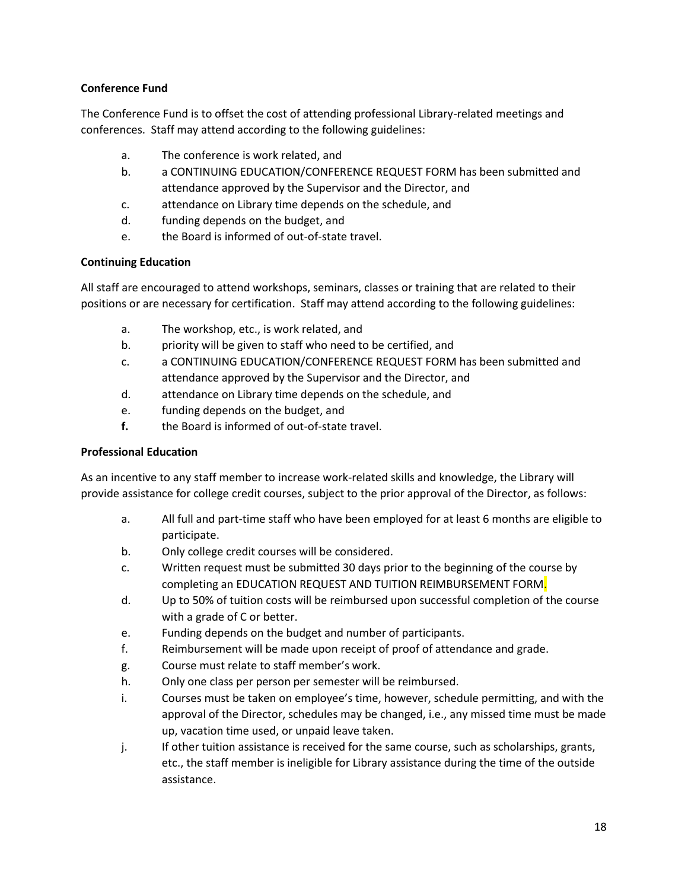### **Conference Fund**

The Conference Fund is to offset the cost of attending professional Library-related meetings and conferences. Staff may attend according to the following guidelines:

- a. The conference is work related, and
- b. a CONTINUING EDUCATION/CONFERENCE REQUEST FORM has been submitted and attendance approved by the Supervisor and the Director, and
- c. attendance on Library time depends on the schedule, and
- d. funding depends on the budget, and
- e. the Board is informed of out-of-state travel.

### **Continuing Education**

All staff are encouraged to attend workshops, seminars, classes or training that are related to their positions or are necessary for certification. Staff may attend according to the following guidelines:

- a. The workshop, etc., is work related, and
- b. priority will be given to staff who need to be certified, and
- c. a CONTINUING EDUCATION/CONFERENCE REQUEST FORM has been submitted and attendance approved by the Supervisor and the Director, and
- d. attendance on Library time depends on the schedule, and
- e. funding depends on the budget, and
- **f.** the Board is informed of out-of-state travel.

### **Professional Education**

As an incentive to any staff member to increase work-related skills and knowledge, the Library will provide assistance for college credit courses, subject to the prior approval of the Director, as follows:

- a. All full and part-time staff who have been employed for at least 6 months are eligible to participate.
- b. Only college credit courses will be considered.
- c. Written request must be submitted 30 days prior to the beginning of the course by completing an EDUCATION REQUEST AND TUITION REIMBURSEMENT FORM.
- d. Up to 50% of tuition costs will be reimbursed upon successful completion of the course with a grade of C or better.
- e. Funding depends on the budget and number of participants.
- f. Reimbursement will be made upon receipt of proof of attendance and grade.
- g. Course must relate to staff member's work.
- h. Only one class per person per semester will be reimbursed.
- i. Courses must be taken on employee's time, however, schedule permitting, and with the approval of the Director, schedules may be changed, i.e., any missed time must be made up, vacation time used, or unpaid leave taken.
- j. If other tuition assistance is received for the same course, such as scholarships, grants, etc., the staff member is ineligible for Library assistance during the time of the outside assistance.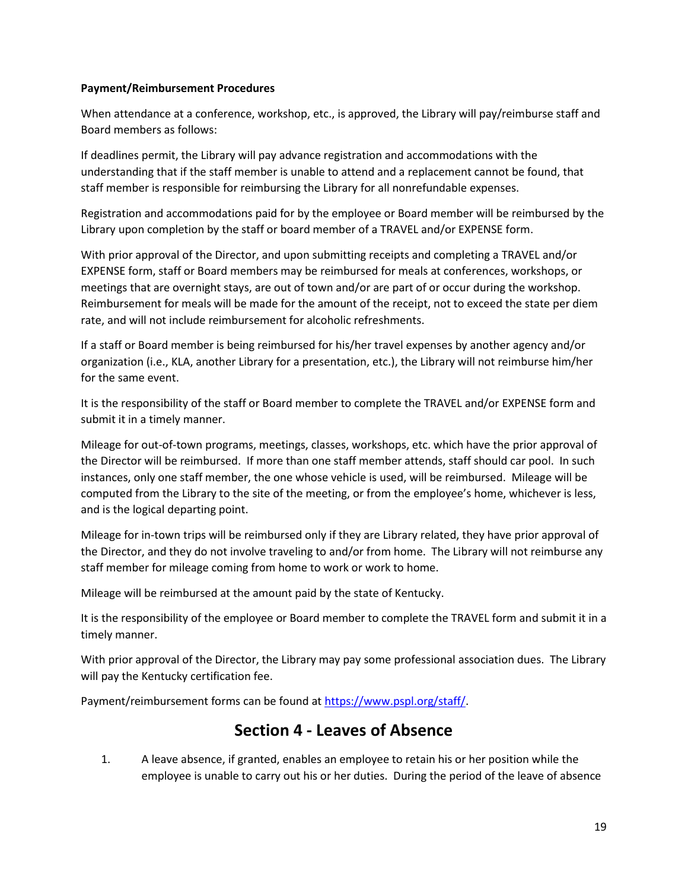### **Payment/Reimbursement Procedures**

When attendance at a conference, workshop, etc., is approved, the Library will pay/reimburse staff and Board members as follows:

If deadlines permit, the Library will pay advance registration and accommodations with the understanding that if the staff member is unable to attend and a replacement cannot be found, that staff member is responsible for reimbursing the Library for all nonrefundable expenses.

Registration and accommodations paid for by the employee or Board member will be reimbursed by the Library upon completion by the staff or board member of a TRAVEL and/or EXPENSE form.

With prior approval of the Director, and upon submitting receipts and completing a TRAVEL and/or EXPENSE form, staff or Board members may be reimbursed for meals at conferences, workshops, or meetings that are overnight stays, are out of town and/or are part of or occur during the workshop. Reimbursement for meals will be made for the amount of the receipt, not to exceed the state per diem rate, and will not include reimbursement for alcoholic refreshments.

If a staff or Board member is being reimbursed for his/her travel expenses by another agency and/or organization (i.e., KLA, another Library for a presentation, etc.), the Library will not reimburse him/her for the same event.

It is the responsibility of the staff or Board member to complete the TRAVEL and/or EXPENSE form and submit it in a timely manner.

Mileage for out-of-town programs, meetings, classes, workshops, etc. which have the prior approval of the Director will be reimbursed. If more than one staff member attends, staff should car pool. In such instances, only one staff member, the one whose vehicle is used, will be reimbursed. Mileage will be computed from the Library to the site of the meeting, or from the employee's home, whichever is less, and is the logical departing point.

Mileage for in-town trips will be reimbursed only if they are Library related, they have prior approval of the Director, and they do not involve traveling to and/or from home. The Library will not reimburse any staff member for mileage coming from home to work or work to home.

Mileage will be reimbursed at the amount paid by the state of Kentucky.

It is the responsibility of the employee or Board member to complete the TRAVEL form and submit it in a timely manner.

With prior approval of the Director, the Library may pay some professional association dues. The Library will pay the Kentucky certification fee.

Payment/reimbursement forms can be found at [https://www.pspl.org/staff/.](https://www.pspl.org/staff/)

# **Section 4 - Leaves of Absence**

1. A leave absence, if granted, enables an employee to retain his or her position while the employee is unable to carry out his or her duties. During the period of the leave of absence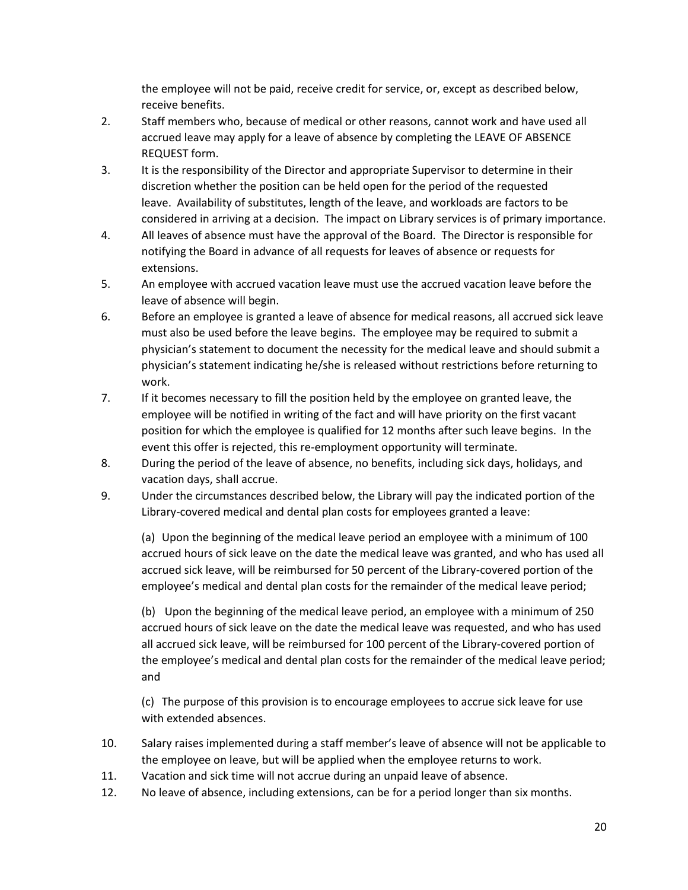the employee will not be paid, receive credit for service, or, except as described below, receive benefits.

- 2. Staff members who, because of medical or other reasons, cannot work and have used all accrued leave may apply for a leave of absence by completing the LEAVE OF ABSENCE REQUEST form.
- 3. It is the responsibility of the Director and appropriate Supervisor to determine in their discretion whether the position can be held open for the period of the requested leave. Availability of substitutes, length of the leave, and workloads are factors to be considered in arriving at a decision. The impact on Library services is of primary importance.
- 4. All leaves of absence must have the approval of the Board. The Director is responsible for notifying the Board in advance of all requests for leaves of absence or requests for extensions.
- 5. An employee with accrued vacation leave must use the accrued vacation leave before the leave of absence will begin.
- 6. Before an employee is granted a leave of absence for medical reasons, all accrued sick leave must also be used before the leave begins. The employee may be required to submit a physician's statement to document the necessity for the medical leave and should submit a physician's statement indicating he/she is released without restrictions before returning to work.
- 7. If it becomes necessary to fill the position held by the employee on granted leave, the employee will be notified in writing of the fact and will have priority on the first vacant position for which the employee is qualified for 12 months after such leave begins. In the event this offer is rejected, this re-employment opportunity will terminate.
- 8. During the period of the leave of absence, no benefits, including sick days, holidays, and vacation days, shall accrue.
- 9. Under the circumstances described below, the Library will pay the indicated portion of the Library-covered medical and dental plan costs for employees granted a leave:

(a) Upon the beginning of the medical leave period an employee with a minimum of 100 accrued hours of sick leave on the date the medical leave was granted, and who has used all accrued sick leave, will be reimbursed for 50 percent of the Library-covered portion of the employee's medical and dental plan costs for the remainder of the medical leave period;

(b) Upon the beginning of the medical leave period, an employee with a minimum of 250 accrued hours of sick leave on the date the medical leave was requested, and who has used all accrued sick leave, will be reimbursed for 100 percent of the Library-covered portion of the employee's medical and dental plan costs for the remainder of the medical leave period; and

(c) The purpose of this provision is to encourage employees to accrue sick leave for use with extended absences.

- 10. Salary raises implemented during a staff member's leave of absence will not be applicable to the employee on leave, but will be applied when the employee returns to work.
- 11. Vacation and sick time will not accrue during an unpaid leave of absence.
- 12. No leave of absence, including extensions, can be for a period longer than six months.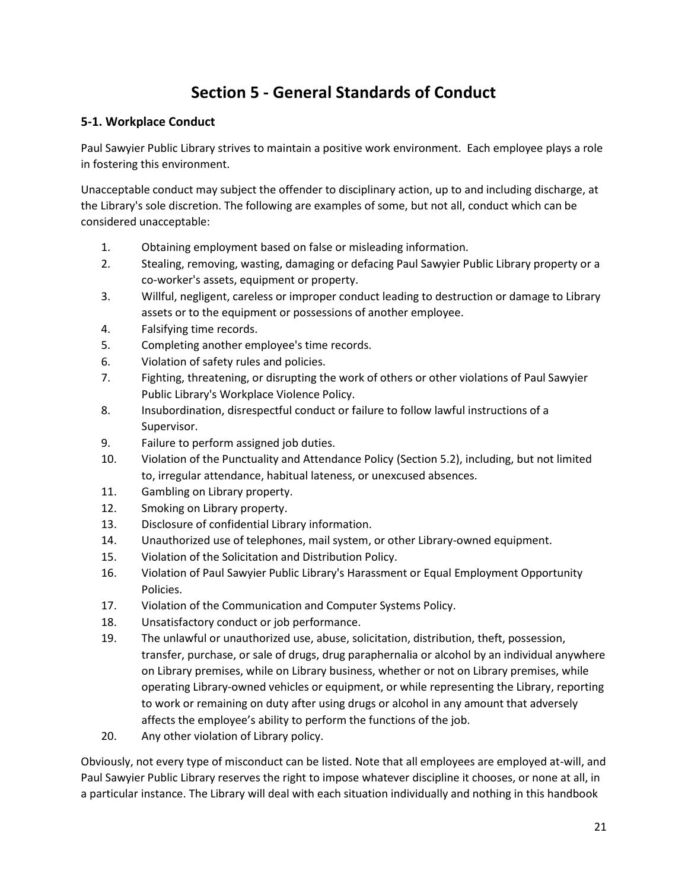# **Section 5 - General Standards of Conduct**

### **5-1. Workplace Conduct**

Paul Sawyier Public Library strives to maintain a positive work environment. Each employee plays a role in fostering this environment.

Unacceptable conduct may subject the offender to disciplinary action, up to and including discharge, at the Library's sole discretion. The following are examples of some, but not all, conduct which can be considered unacceptable:

- 1. Obtaining employment based on false or misleading information.
- 2. Stealing, removing, wasting, damaging or defacing Paul Sawyier Public Library property or a co-worker's assets, equipment or property.
- 3. Willful, negligent, careless or improper conduct leading to destruction or damage to Library assets or to the equipment or possessions of another employee.
- 4. Falsifying time records.
- 5. Completing another employee's time records.
- 6. Violation of safety rules and policies.
- 7. Fighting, threatening, or disrupting the work of others or other violations of Paul Sawyier Public Library's Workplace Violence Policy.
- 8. Insubordination, disrespectful conduct or failure to follow lawful instructions of a Supervisor.
- 9. Failure to perform assigned job duties.
- 10. Violation of the Punctuality and Attendance Policy (Section 5.2), including, but not limited to, irregular attendance, habitual lateness, or unexcused absences.
- 11. Gambling on Library property.
- 12. Smoking on Library property.
- 13. Disclosure of confidential Library information.
- 14. Unauthorized use of telephones, mail system, or other Library-owned equipment.
- 15. Violation of the Solicitation and Distribution Policy.
- 16. Violation of Paul Sawyier Public Library's Harassment or Equal Employment Opportunity Policies.
- 17. Violation of the Communication and Computer Systems Policy.
- 18. Unsatisfactory conduct or job performance.
- 19. The unlawful or unauthorized use, abuse, solicitation, distribution, theft, possession, transfer, purchase, or sale of drugs, drug paraphernalia or alcohol by an individual anywhere on Library premises, while on Library business, whether or not on Library premises, while operating Library-owned vehicles or equipment, or while representing the Library, reporting to work or remaining on duty after using drugs or alcohol in any amount that adversely affects the employee's ability to perform the functions of the job.
- 20. Any other violation of Library policy.

Obviously, not every type of misconduct can be listed. Note that all employees are employed at-will, and Paul Sawyier Public Library reserves the right to impose whatever discipline it chooses, or none at all, in a particular instance. The Library will deal with each situation individually and nothing in this handbook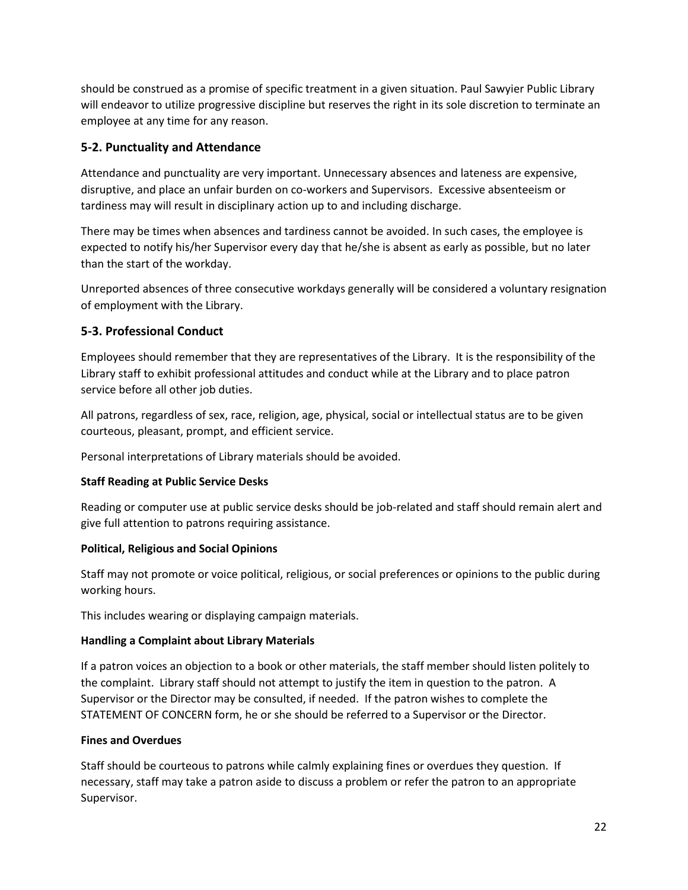should be construed as a promise of specific treatment in a given situation. Paul Sawyier Public Library will endeavor to utilize progressive discipline but reserves the right in its sole discretion to terminate an employee at any time for any reason.

# **5-2. Punctuality and Attendance**

Attendance and punctuality are very important. Unnecessary absences and lateness are expensive, disruptive, and place an unfair burden on co-workers and Supervisors. Excessive absenteeism or tardiness may will result in disciplinary action up to and including discharge.

There may be times when absences and tardiness cannot be avoided. In such cases, the employee is expected to notify his/her Supervisor every day that he/she is absent as early as possible, but no later than the start of the workday.

Unreported absences of three consecutive workdays generally will be considered a voluntary resignation of employment with the Library.

## **5-3. Professional Conduct**

Employees should remember that they are representatives of the Library. It is the responsibility of the Library staff to exhibit professional attitudes and conduct while at the Library and to place patron service before all other job duties.

All patrons, regardless of sex, race, religion, age, physical, social or intellectual status are to be given courteous, pleasant, prompt, and efficient service.

Personal interpretations of Library materials should be avoided.

### **Staff Reading at Public Service Desks**

Reading or computer use at public service desks should be job-related and staff should remain alert and give full attention to patrons requiring assistance.

### **Political, Religious and Social Opinions**

Staff may not promote or voice political, religious, or social preferences or opinions to the public during working hours.

This includes wearing or displaying campaign materials.

### **Handling a Complaint about Library Materials**

If a patron voices an objection to a book or other materials, the staff member should listen politely to the complaint. Library staff should not attempt to justify the item in question to the patron. A Supervisor or the Director may be consulted, if needed. If the patron wishes to complete the STATEMENT OF CONCERN form, he or she should be referred to a Supervisor or the Director.

### **Fines and Overdues**

Staff should be courteous to patrons while calmly explaining fines or overdues they question. If necessary, staff may take a patron aside to discuss a problem or refer the patron to an appropriate Supervisor.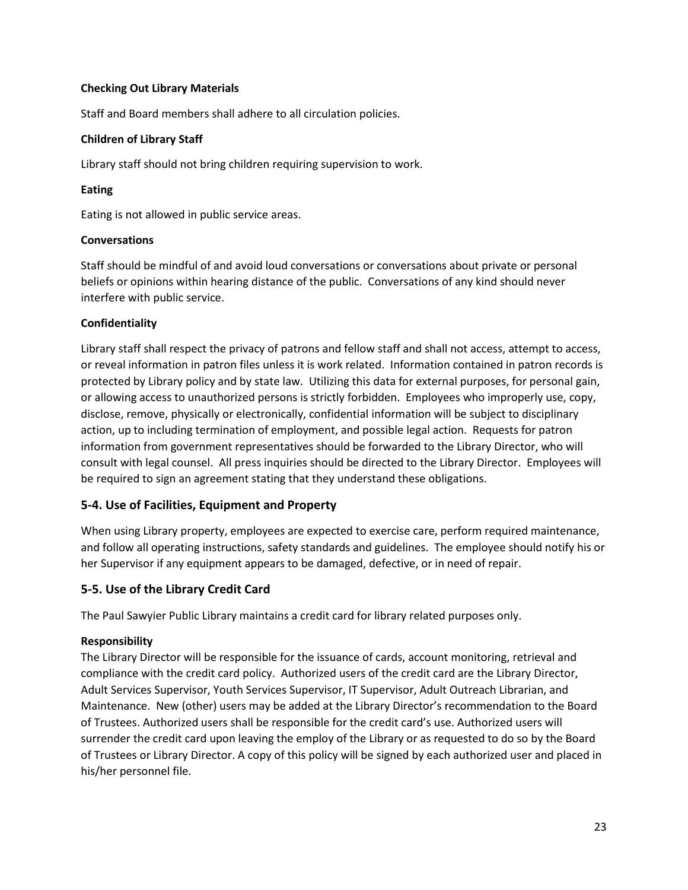### **Checking Out Library Materials**

Staff and Board members shall adhere to all circulation policies.

### **Children of Library Staff**

Library staff should not bring children requiring supervision to work.

### **Eating**

Eating is not allowed in public service areas.

### **Conversations**

Staff should be mindful of and avoid loud conversations or conversations about private or personal beliefs or opinions within hearing distance of the public. Conversations of any kind should never interfere with public service.

### **Confidentiality**

Library staff shall respect the privacy of patrons and fellow staff and shall not access, attempt to access, or reveal information in patron files unless it is work related. Information contained in patron records is protected by Library policy and by state law. Utilizing this data for external purposes, for personal gain, or allowing access to unauthorized persons is strictly forbidden. Employees who improperly use, copy, disclose, remove, physically or electronically, confidential information will be subject to disciplinary action, up to including termination of employment, and possible legal action. Requests for patron information from government representatives should be forwarded to the Library Director, who will consult with legal counsel. All press inquiries should be directed to the Library Director. Employees will be required to sign an agreement stating that they understand these obligations.

### **5-4. Use of Facilities, Equipment and Property**

When using Library property, employees are expected to exercise care, perform required maintenance, and follow all operating instructions, safety standards and guidelines. The employee should notify his or her Supervisor if any equipment appears to be damaged, defective, or in need of repair.

# **5-5. Use of the Library Credit Card**

The Paul Sawyier Public Library maintains a credit card for library related purposes only.

### **Responsibility**

The Library Director will be responsible for the issuance of cards, account monitoring, retrieval and compliance with the credit card policy. Authorized users of the credit card are the Library Director, Adult Services Supervisor, Youth Services Supervisor, IT Supervisor, Adult Outreach Librarian, and Maintenance. New (other) users may be added at the Library Director's recommendation to the Board of Trustees. Authorized users shall be responsible for the credit card's use. Authorized users will surrender the credit card upon leaving the employ of the Library or as requested to do so by the Board of Trustees or Library Director. A copy of this policy will be signed by each authorized user and placed in his/her personnel file.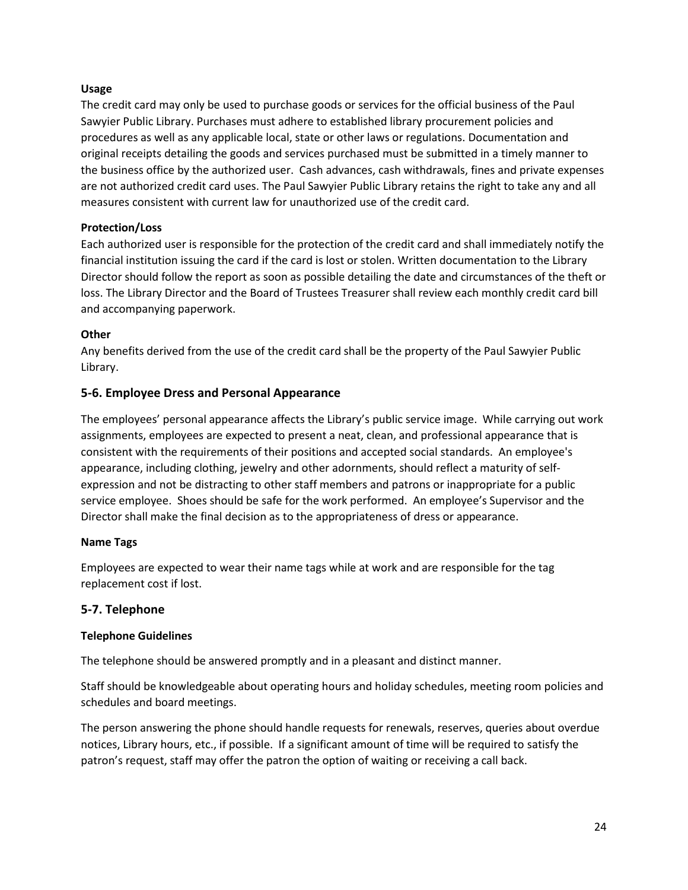### **Usage**

The credit card may only be used to purchase goods or services for the official business of the Paul Sawyier Public Library. Purchases must adhere to established library procurement policies and procedures as well as any applicable local, state or other laws or regulations. Documentation and original receipts detailing the goods and services purchased must be submitted in a timely manner to the business office by the authorized user. Cash advances, cash withdrawals, fines and private expenses are not authorized credit card uses. The Paul Sawyier Public Library retains the right to take any and all measures consistent with current law for unauthorized use of the credit card.

### **Protection/Loss**

Each authorized user is responsible for the protection of the credit card and shall immediately notify the financial institution issuing the card if the card is lost or stolen. Written documentation to the Library Director should follow the report as soon as possible detailing the date and circumstances of the theft or loss. The Library Director and the Board of Trustees Treasurer shall review each monthly credit card bill and accompanying paperwork.

### **Other**

Any benefits derived from the use of the credit card shall be the property of the Paul Sawyier Public Library.

### **5-6. Employee Dress and Personal Appearance**

The employees' personal appearance affects the Library's public service image. While carrying out work assignments, employees are expected to present a neat, clean, and professional appearance that is consistent with the requirements of their positions and accepted social standards. An employee's appearance, including clothing, jewelry and other adornments, should reflect a maturity of selfexpression and not be distracting to other staff members and patrons or inappropriate for a public service employee. Shoes should be safe for the work performed. An employee's Supervisor and the Director shall make the final decision as to the appropriateness of dress or appearance.

### **Name Tags**

Employees are expected to wear their name tags while at work and are responsible for the tag replacement cost if lost.

### **5-7. Telephone**

### **Telephone Guidelines**

The telephone should be answered promptly and in a pleasant and distinct manner.

Staff should be knowledgeable about operating hours and holiday schedules, meeting room policies and schedules and board meetings.

The person answering the phone should handle requests for renewals, reserves, queries about overdue notices, Library hours, etc., if possible. If a significant amount of time will be required to satisfy the patron's request, staff may offer the patron the option of waiting or receiving a call back.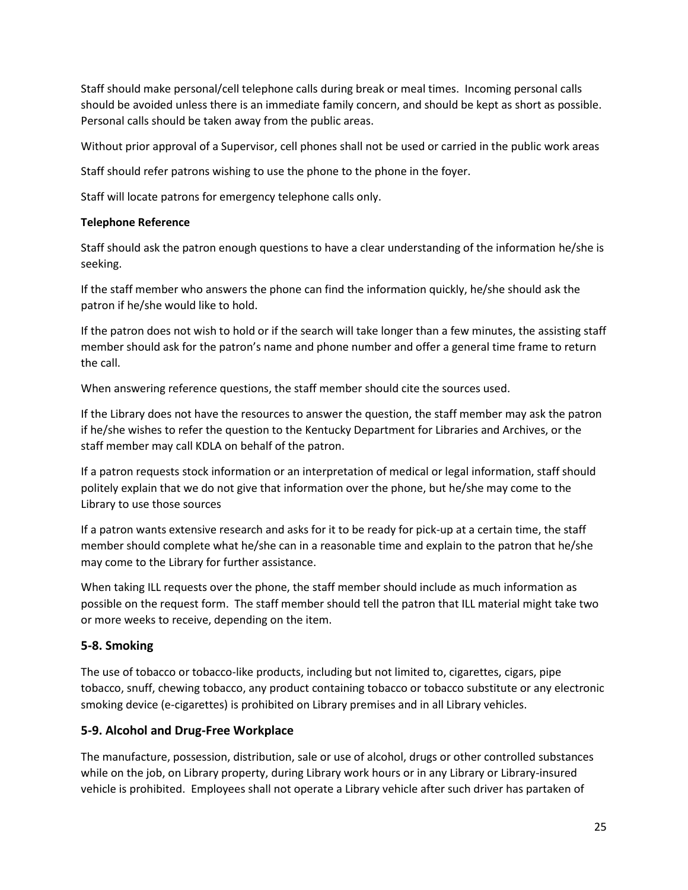Staff should make personal/cell telephone calls during break or meal times. Incoming personal calls should be avoided unless there is an immediate family concern, and should be kept as short as possible. Personal calls should be taken away from the public areas.

Without prior approval of a Supervisor, cell phones shall not be used or carried in the public work areas

Staff should refer patrons wishing to use the phone to the phone in the foyer.

Staff will locate patrons for emergency telephone calls only.

### **Telephone Reference**

Staff should ask the patron enough questions to have a clear understanding of the information he/she is seeking.

If the staff member who answers the phone can find the information quickly, he/she should ask the patron if he/she would like to hold.

If the patron does not wish to hold or if the search will take longer than a few minutes, the assisting staff member should ask for the patron's name and phone number and offer a general time frame to return the call.

When answering reference questions, the staff member should cite the sources used.

If the Library does not have the resources to answer the question, the staff member may ask the patron if he/she wishes to refer the question to the Kentucky Department for Libraries and Archives, or the staff member may call KDLA on behalf of the patron.

If a patron requests stock information or an interpretation of medical or legal information, staff should politely explain that we do not give that information over the phone, but he/she may come to the Library to use those sources

If a patron wants extensive research and asks for it to be ready for pick-up at a certain time, the staff member should complete what he/she can in a reasonable time and explain to the patron that he/she may come to the Library for further assistance.

When taking ILL requests over the phone, the staff member should include as much information as possible on the request form. The staff member should tell the patron that ILL material might take two or more weeks to receive, depending on the item.

### **5-8. Smoking**

The use of tobacco or tobacco-like products, including but not limited to, cigarettes, cigars, pipe tobacco, snuff, chewing tobacco, any product containing tobacco or tobacco substitute or any electronic smoking device (e-cigarettes) is prohibited on Library premises and in all Library vehicles.

# **5-9. Alcohol and Drug-Free Workplace**

The manufacture, possession, distribution, sale or use of alcohol, drugs or other controlled substances while on the job, on Library property, during Library work hours or in any Library or Library-insured vehicle is prohibited. Employees shall not operate a Library vehicle after such driver has partaken of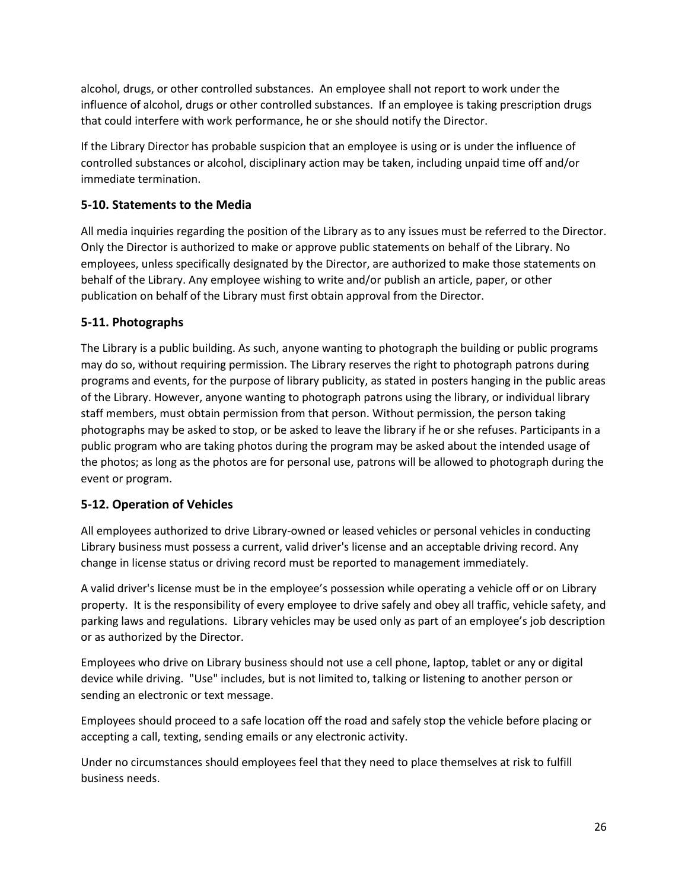alcohol, drugs, or other controlled substances. An employee shall not report to work under the influence of alcohol, drugs or other controlled substances. If an employee is taking prescription drugs that could interfere with work performance, he or she should notify the Director.

If the Library Director has probable suspicion that an employee is using or is under the influence of controlled substances or alcohol, disciplinary action may be taken, including unpaid time off and/or immediate termination.

# **5-10. Statements to the Media**

All media inquiries regarding the position of the Library as to any issues must be referred to the Director. Only the Director is authorized to make or approve public statements on behalf of the Library. No employees, unless specifically designated by the Director, are authorized to make those statements on behalf of the Library. Any employee wishing to write and/or publish an article, paper, or other publication on behalf of the Library must first obtain approval from the Director.

## **5-11. Photographs**

The Library is a public building. As such, anyone wanting to photograph the building or public programs may do so, without requiring permission. The Library reserves the right to photograph patrons during programs and events, for the purpose of library publicity, as stated in posters hanging in the public areas of the Library. However, anyone wanting to photograph patrons using the library, or individual library staff members, must obtain permission from that person. Without permission, the person taking photographs may be asked to stop, or be asked to leave the library if he or she refuses. Participants in a public program who are taking photos during the program may be asked about the intended usage of the photos; as long as the photos are for personal use, patrons will be allowed to photograph during the event or program.

# **5-12. Operation of Vehicles**

All employees authorized to drive Library-owned or leased vehicles or personal vehicles in conducting Library business must possess a current, valid driver's license and an acceptable driving record. Any change in license status or driving record must be reported to management immediately.

A valid driver's license must be in the employee's possession while operating a vehicle off or on Library property. It is the responsibility of every employee to drive safely and obey all traffic, vehicle safety, and parking laws and regulations. Library vehicles may be used only as part of an employee's job description or as authorized by the Director.

Employees who drive on Library business should not use a cell phone, laptop, tablet or any or digital device while driving. "Use" includes, but is not limited to, talking or listening to another person or sending an electronic or text message.

Employees should proceed to a safe location off the road and safely stop the vehicle before placing or accepting a call, texting, sending emails or any electronic activity.

Under no circumstances should employees feel that they need to place themselves at risk to fulfill business needs.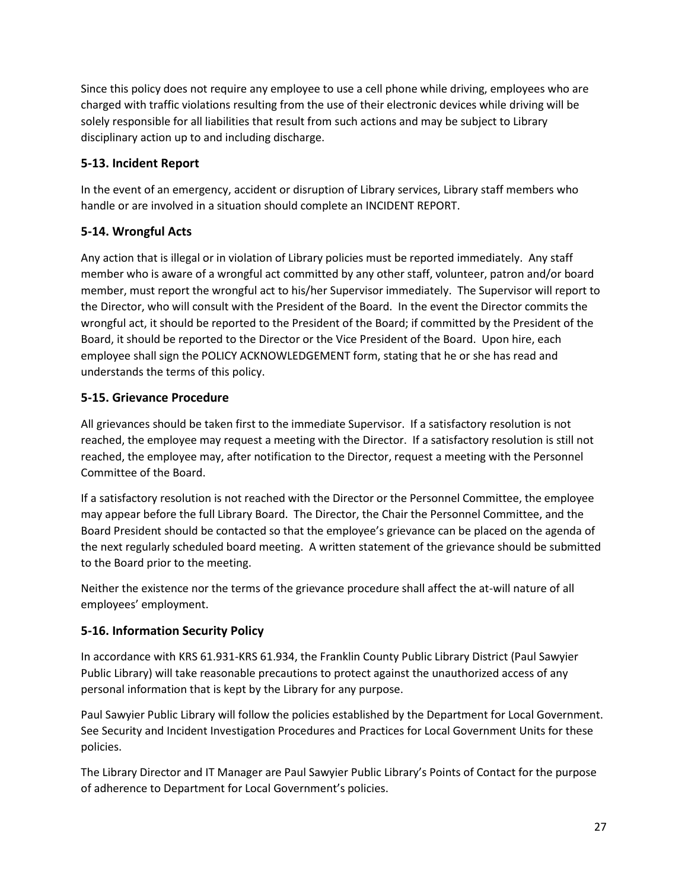Since this policy does not require any employee to use a cell phone while driving, employees who are charged with traffic violations resulting from the use of their electronic devices while driving will be solely responsible for all liabilities that result from such actions and may be subject to Library disciplinary action up to and including discharge.

# **5-13. Incident Report**

In the event of an emergency, accident or disruption of Library services, Library staff members who handle or are involved in a situation should complete an INCIDENT REPORT.

# **5-14. Wrongful Acts**

Any action that is illegal or in violation of Library policies must be reported immediately. Any staff member who is aware of a wrongful act committed by any other staff, volunteer, patron and/or board member, must report the wrongful act to his/her Supervisor immediately. The Supervisor will report to the Director, who will consult with the President of the Board. In the event the Director commits the wrongful act, it should be reported to the President of the Board; if committed by the President of the Board, it should be reported to the Director or the Vice President of the Board. Upon hire, each employee shall sign the POLICY ACKNOWLEDGEMENT form, stating that he or she has read and understands the terms of this policy.

# **5-15. Grievance Procedure**

All grievances should be taken first to the immediate Supervisor. If a satisfactory resolution is not reached, the employee may request a meeting with the Director. If a satisfactory resolution is still not reached, the employee may, after notification to the Director, request a meeting with the Personnel Committee of the Board.

If a satisfactory resolution is not reached with the Director or the Personnel Committee, the employee may appear before the full Library Board. The Director, the Chair the Personnel Committee, and the Board President should be contacted so that the employee's grievance can be placed on the agenda of the next regularly scheduled board meeting. A written statement of the grievance should be submitted to the Board prior to the meeting.

Neither the existence nor the terms of the grievance procedure shall affect the at-will nature of all employees' employment.

# **5-16. Information Security Policy**

In accordance with KRS 61.931-KRS 61.934, the Franklin County Public Library District (Paul Sawyier Public Library) will take reasonable precautions to protect against the unauthorized access of any personal information that is kept by the Library for any purpose.

Paul Sawyier Public Library will follow the policies established by the Department for Local Government. See Security and Incident Investigation Procedures and Practices for Local Government Units for these policies.

The Library Director and IT Manager are Paul Sawyier Public Library's Points of Contact for the purpose of adherence to Department for Local Government's policies.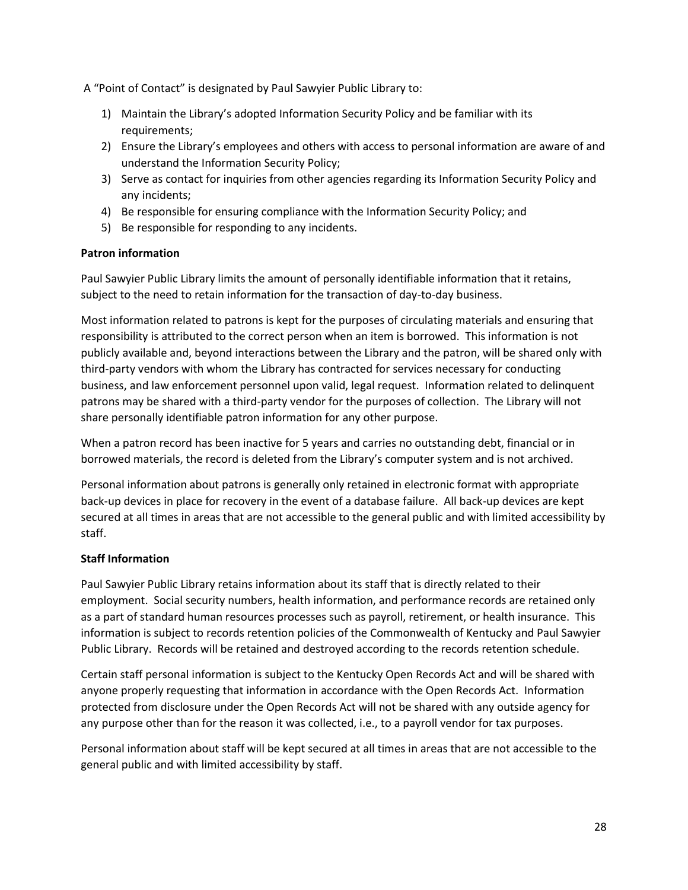A "Point of Contact" is designated by Paul Sawyier Public Library to:

- 1) Maintain the Library's adopted Information Security Policy and be familiar with its requirements;
- 2) Ensure the Library's employees and others with access to personal information are aware of and understand the Information Security Policy;
- 3) Serve as contact for inquiries from other agencies regarding its Information Security Policy and any incidents;
- 4) Be responsible for ensuring compliance with the Information Security Policy; and
- 5) Be responsible for responding to any incidents.

### **Patron information**

Paul Sawyier Public Library limits the amount of personally identifiable information that it retains, subject to the need to retain information for the transaction of day-to-day business.

Most information related to patrons is kept for the purposes of circulating materials and ensuring that responsibility is attributed to the correct person when an item is borrowed. This information is not publicly available and, beyond interactions between the Library and the patron, will be shared only with third-party vendors with whom the Library has contracted for services necessary for conducting business, and law enforcement personnel upon valid, legal request. Information related to delinquent patrons may be shared with a third-party vendor for the purposes of collection. The Library will not share personally identifiable patron information for any other purpose.

When a patron record has been inactive for 5 years and carries no outstanding debt, financial or in borrowed materials, the record is deleted from the Library's computer system and is not archived.

Personal information about patrons is generally only retained in electronic format with appropriate back-up devices in place for recovery in the event of a database failure. All back-up devices are kept secured at all times in areas that are not accessible to the general public and with limited accessibility by staff.

### **Staff Information**

Paul Sawyier Public Library retains information about its staff that is directly related to their employment. Social security numbers, health information, and performance records are retained only as a part of standard human resources processes such as payroll, retirement, or health insurance. This information is subject to records retention policies of the Commonwealth of Kentucky and Paul Sawyier Public Library. Records will be retained and destroyed according to the records retention schedule.

Certain staff personal information is subject to the Kentucky Open Records Act and will be shared with anyone properly requesting that information in accordance with the Open Records Act. Information protected from disclosure under the Open Records Act will not be shared with any outside agency for any purpose other than for the reason it was collected, i.e., to a payroll vendor for tax purposes.

Personal information about staff will be kept secured at all times in areas that are not accessible to the general public and with limited accessibility by staff.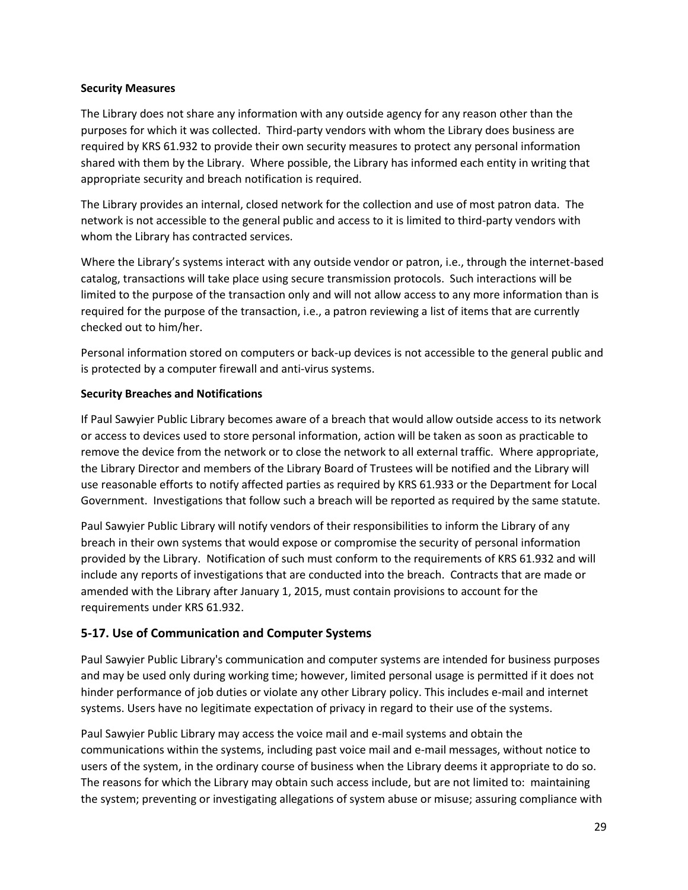### **Security Measures**

The Library does not share any information with any outside agency for any reason other than the purposes for which it was collected. Third-party vendors with whom the Library does business are required by KRS 61.932 to provide their own security measures to protect any personal information shared with them by the Library. Where possible, the Library has informed each entity in writing that appropriate security and breach notification is required.

The Library provides an internal, closed network for the collection and use of most patron data. The network is not accessible to the general public and access to it is limited to third-party vendors with whom the Library has contracted services.

Where the Library's systems interact with any outside vendor or patron, i.e., through the internet-based catalog, transactions will take place using secure transmission protocols. Such interactions will be limited to the purpose of the transaction only and will not allow access to any more information than is required for the purpose of the transaction, i.e., a patron reviewing a list of items that are currently checked out to him/her.

Personal information stored on computers or back-up devices is not accessible to the general public and is protected by a computer firewall and anti-virus systems.

### **Security Breaches and Notifications**

If Paul Sawyier Public Library becomes aware of a breach that would allow outside access to its network or access to devices used to store personal information, action will be taken as soon as practicable to remove the device from the network or to close the network to all external traffic. Where appropriate, the Library Director and members of the Library Board of Trustees will be notified and the Library will use reasonable efforts to notify affected parties as required by KRS 61.933 or the Department for Local Government. Investigations that follow such a breach will be reported as required by the same statute.

Paul Sawyier Public Library will notify vendors of their responsibilities to inform the Library of any breach in their own systems that would expose or compromise the security of personal information provided by the Library. Notification of such must conform to the requirements of KRS 61.932 and will include any reports of investigations that are conducted into the breach. Contracts that are made or amended with the Library after January 1, 2015, must contain provisions to account for the requirements under KRS 61.932.

# **5-17. Use of Communication and Computer Systems**

Paul Sawyier Public Library's communication and computer systems are intended for business purposes and may be used only during working time; however, limited personal usage is permitted if it does not hinder performance of job duties or violate any other Library policy. This includes e-mail and internet systems. Users have no legitimate expectation of privacy in regard to their use of the systems.

Paul Sawyier Public Library may access the voice mail and e-mail systems and obtain the communications within the systems, including past voice mail and e-mail messages, without notice to users of the system, in the ordinary course of business when the Library deems it appropriate to do so. The reasons for which the Library may obtain such access include, but are not limited to: maintaining the system; preventing or investigating allegations of system abuse or misuse; assuring compliance with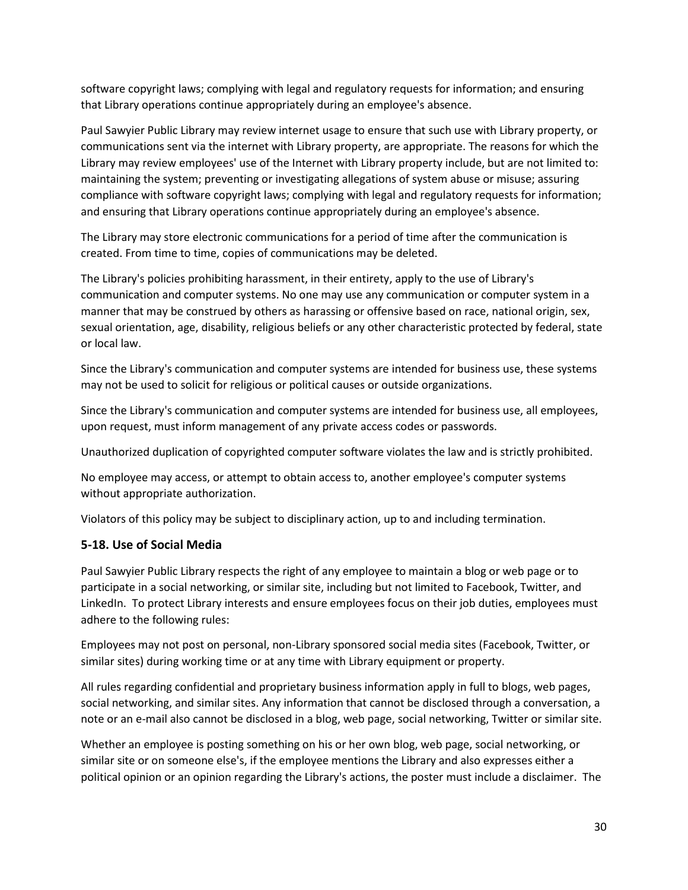software copyright laws; complying with legal and regulatory requests for information; and ensuring that Library operations continue appropriately during an employee's absence.

Paul Sawyier Public Library may review internet usage to ensure that such use with Library property, or communications sent via the internet with Library property, are appropriate. The reasons for which the Library may review employees' use of the Internet with Library property include, but are not limited to: maintaining the system; preventing or investigating allegations of system abuse or misuse; assuring compliance with software copyright laws; complying with legal and regulatory requests for information; and ensuring that Library operations continue appropriately during an employee's absence.

The Library may store electronic communications for a period of time after the communication is created. From time to time, copies of communications may be deleted.

The Library's policies prohibiting harassment, in their entirety, apply to the use of Library's communication and computer systems. No one may use any communication or computer system in a manner that may be construed by others as harassing or offensive based on race, national origin, sex, sexual orientation, age, disability, religious beliefs or any other characteristic protected by federal, state or local law.

Since the Library's communication and computer systems are intended for business use, these systems may not be used to solicit for religious or political causes or outside organizations.

Since the Library's communication and computer systems are intended for business use, all employees, upon request, must inform management of any private access codes or passwords.

Unauthorized duplication of copyrighted computer software violates the law and is strictly prohibited.

No employee may access, or attempt to obtain access to, another employee's computer systems without appropriate authorization.

Violators of this policy may be subject to disciplinary action, up to and including termination.

### **5-18. Use of Social Media**

Paul Sawyier Public Library respects the right of any employee to maintain a blog or web page or to participate in a social networking, or similar site, including but not limited to Facebook, Twitter, and LinkedIn. To protect Library interests and ensure employees focus on their job duties, employees must adhere to the following rules:

Employees may not post on personal, non-Library sponsored social media sites (Facebook, Twitter, or similar sites) during working time or at any time with Library equipment or property.

All rules regarding confidential and proprietary business information apply in full to blogs, web pages, social networking, and similar sites. Any information that cannot be disclosed through a conversation, a note or an e-mail also cannot be disclosed in a blog, web page, social networking, Twitter or similar site.

Whether an employee is posting something on his or her own blog, web page, social networking, or similar site or on someone else's, if the employee mentions the Library and also expresses either a political opinion or an opinion regarding the Library's actions, the poster must include a disclaimer. The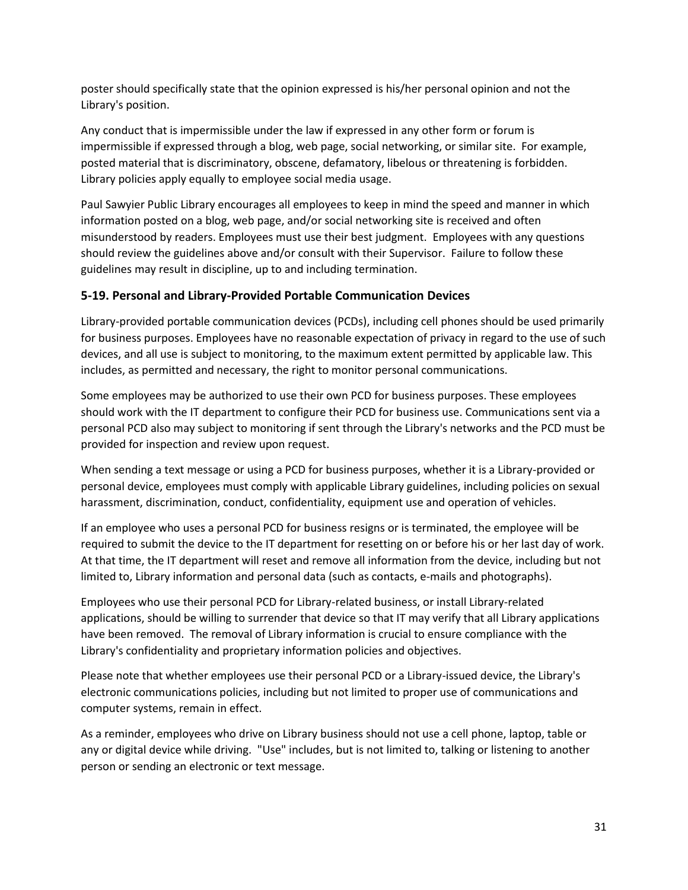poster should specifically state that the opinion expressed is his/her personal opinion and not the Library's position.

Any conduct that is impermissible under the law if expressed in any other form or forum is impermissible if expressed through a blog, web page, social networking, or similar site. For example, posted material that is discriminatory, obscene, defamatory, libelous or threatening is forbidden. Library policies apply equally to employee social media usage.

Paul Sawyier Public Library encourages all employees to keep in mind the speed and manner in which information posted on a blog, web page, and/or social networking site is received and often misunderstood by readers. Employees must use their best judgment. Employees with any questions should review the guidelines above and/or consult with their Supervisor. Failure to follow these guidelines may result in discipline, up to and including termination.

## **5-19. Personal and Library-Provided Portable Communication Devices**

Library-provided portable communication devices (PCDs), including cell phones should be used primarily for business purposes. Employees have no reasonable expectation of privacy in regard to the use of such devices, and all use is subject to monitoring, to the maximum extent permitted by applicable law. This includes, as permitted and necessary, the right to monitor personal communications.

Some employees may be authorized to use their own PCD for business purposes. These employees should work with the IT department to configure their PCD for business use. Communications sent via a personal PCD also may subject to monitoring if sent through the Library's networks and the PCD must be provided for inspection and review upon request.

When sending a text message or using a PCD for business purposes, whether it is a Library-provided or personal device, employees must comply with applicable Library guidelines, including policies on sexual harassment, discrimination, conduct, confidentiality, equipment use and operation of vehicles.

If an employee who uses a personal PCD for business resigns or is terminated, the employee will be required to submit the device to the IT department for resetting on or before his or her last day of work. At that time, the IT department will reset and remove all information from the device, including but not limited to, Library information and personal data (such as contacts, e-mails and photographs).

Employees who use their personal PCD for Library-related business, or install Library-related applications, should be willing to surrender that device so that IT may verify that all Library applications have been removed. The removal of Library information is crucial to ensure compliance with the Library's confidentiality and proprietary information policies and objectives.

Please note that whether employees use their personal PCD or a Library-issued device, the Library's electronic communications policies, including but not limited to proper use of communications and computer systems, remain in effect.

As a reminder, employees who drive on Library business should not use a cell phone, laptop, table or any or digital device while driving. "Use" includes, but is not limited to, talking or listening to another person or sending an electronic or text message.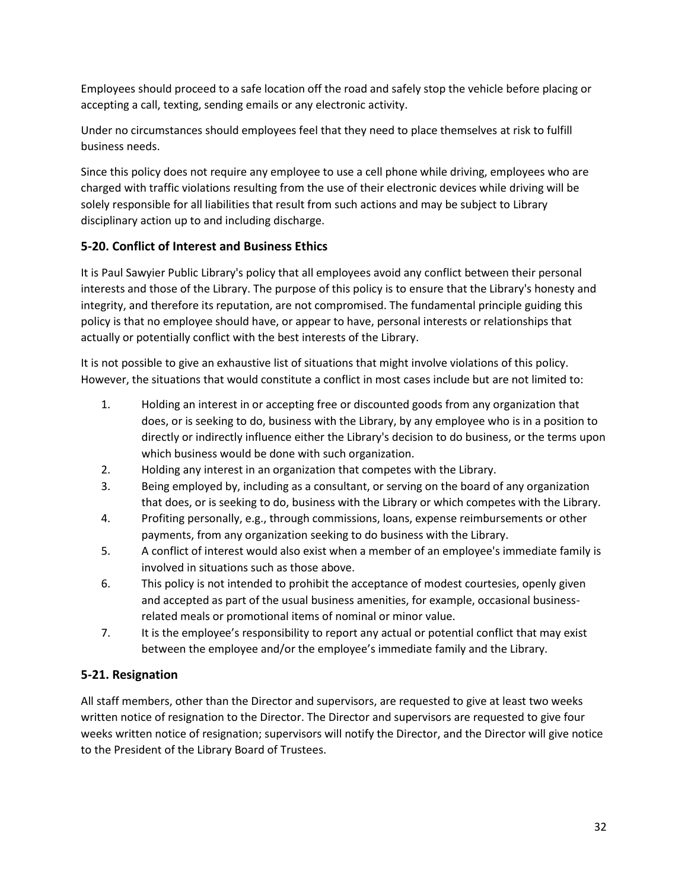Employees should proceed to a safe location off the road and safely stop the vehicle before placing or accepting a call, texting, sending emails or any electronic activity.

Under no circumstances should employees feel that they need to place themselves at risk to fulfill business needs.

Since this policy does not require any employee to use a cell phone while driving, employees who are charged with traffic violations resulting from the use of their electronic devices while driving will be solely responsible for all liabilities that result from such actions and may be subject to Library disciplinary action up to and including discharge.

# **5-20. Conflict of Interest and Business Ethics**

It is Paul Sawyier Public Library's policy that all employees avoid any conflict between their personal interests and those of the Library. The purpose of this policy is to ensure that the Library's honesty and integrity, and therefore its reputation, are not compromised. The fundamental principle guiding this policy is that no employee should have, or appear to have, personal interests or relationships that actually or potentially conflict with the best interests of the Library.

It is not possible to give an exhaustive list of situations that might involve violations of this policy. However, the situations that would constitute a conflict in most cases include but are not limited to:

- 1. Holding an interest in or accepting free or discounted goods from any organization that does, or is seeking to do, business with the Library, by any employee who is in a position to directly or indirectly influence either the Library's decision to do business, or the terms upon which business would be done with such organization.
- 2. Holding any interest in an organization that competes with the Library.
- 3. Being employed by, including as a consultant, or serving on the board of any organization that does, or is seeking to do, business with the Library or which competes with the Library.
- 4. Profiting personally, e.g., through commissions, loans, expense reimbursements or other payments, from any organization seeking to do business with the Library.
- 5. A conflict of interest would also exist when a member of an employee's immediate family is involved in situations such as those above.
- 6. This policy is not intended to prohibit the acceptance of modest courtesies, openly given and accepted as part of the usual business amenities, for example, occasional businessrelated meals or promotional items of nominal or minor value.
- 7. It is the employee's responsibility to report any actual or potential conflict that may exist between the employee and/or the employee's immediate family and the Library.

# **5-21. Resignation**

All staff members, other than the Director and supervisors, are requested to give at least two weeks written notice of resignation to the Director. The Director and supervisors are requested to give four weeks written notice of resignation; supervisors will notify the Director, and the Director will give notice to the President of the Library Board of Trustees.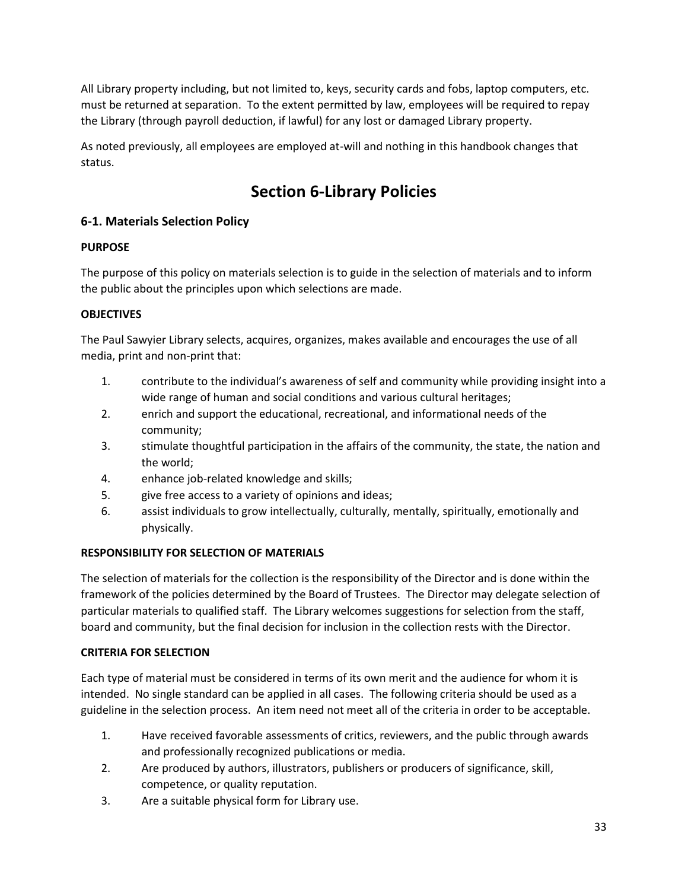All Library property including, but not limited to, keys, security cards and fobs, laptop computers, etc. must be returned at separation. To the extent permitted by law, employees will be required to repay the Library (through payroll deduction, if lawful) for any lost or damaged Library property.

As noted previously, all employees are employed at-will and nothing in this handbook changes that status.

# **Section 6-Library Policies**

# **6-1. Materials Selection Policy**

# **PURPOSE**

The purpose of this policy on materials selection is to guide in the selection of materials and to inform the public about the principles upon which selections are made.

# **OBJECTIVES**

The Paul Sawyier Library selects, acquires, organizes, makes available and encourages the use of all media, print and non-print that:

- 1. contribute to the individual's awareness of self and community while providing insight into a wide range of human and social conditions and various cultural heritages;
- 2. enrich and support the educational, recreational, and informational needs of the community;
- 3. stimulate thoughtful participation in the affairs of the community, the state, the nation and the world;
- 4. enhance job-related knowledge and skills;
- 5. give free access to a variety of opinions and ideas;
- 6. assist individuals to grow intellectually, culturally, mentally, spiritually, emotionally and physically.

# **RESPONSIBILITY FOR SELECTION OF MATERIALS**

The selection of materials for the collection is the responsibility of the Director and is done within the framework of the policies determined by the Board of Trustees. The Director may delegate selection of particular materials to qualified staff. The Library welcomes suggestions for selection from the staff, board and community, but the final decision for inclusion in the collection rests with the Director.

# **CRITERIA FOR SELECTION**

Each type of material must be considered in terms of its own merit and the audience for whom it is intended. No single standard can be applied in all cases. The following criteria should be used as a guideline in the selection process. An item need not meet all of the criteria in order to be acceptable.

- 1. Have received favorable assessments of critics, reviewers, and the public through awards and professionally recognized publications or media.
- 2. Are produced by authors, illustrators, publishers or producers of significance, skill, competence, or quality reputation.
- 3. Are a suitable physical form for Library use.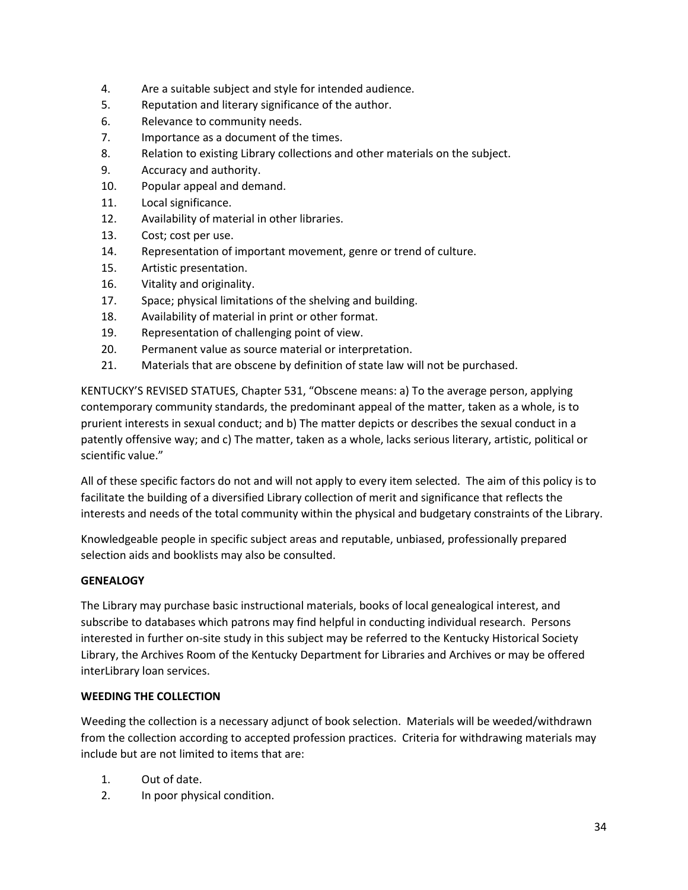- 4. Are a suitable subject and style for intended audience.
- 5. Reputation and literary significance of the author.
- 6. Relevance to community needs.
- 7. Importance as a document of the times.
- 8. Relation to existing Library collections and other materials on the subject.
- 9. Accuracy and authority.
- 10. Popular appeal and demand.
- 11. Local significance.
- 12. Availability of material in other libraries.
- 13. Cost; cost per use.
- 14. Representation of important movement, genre or trend of culture.
- 15. Artistic presentation.
- 16. Vitality and originality.
- 17. Space; physical limitations of the shelving and building.
- 18. Availability of material in print or other format.
- 19. Representation of challenging point of view.
- 20. Permanent value as source material or interpretation.
- 21. Materials that are obscene by definition of state law will not be purchased.

KENTUCKY'S REVISED STATUES, Chapter 531, "Obscene means: a) To the average person, applying contemporary community standards, the predominant appeal of the matter, taken as a whole, is to prurient interests in sexual conduct; and b) The matter depicts or describes the sexual conduct in a patently offensive way; and c) The matter, taken as a whole, lacks serious literary, artistic, political or scientific value."

All of these specific factors do not and will not apply to every item selected. The aim of this policy is to facilitate the building of a diversified Library collection of merit and significance that reflects the interests and needs of the total community within the physical and budgetary constraints of the Library.

Knowledgeable people in specific subject areas and reputable, unbiased, professionally prepared selection aids and booklists may also be consulted.

### **GENEALOGY**

The Library may purchase basic instructional materials, books of local genealogical interest, and subscribe to databases which patrons may find helpful in conducting individual research. Persons interested in further on-site study in this subject may be referred to the Kentucky Historical Society Library, the Archives Room of the Kentucky Department for Libraries and Archives or may be offered interLibrary loan services.

### **WEEDING THE COLLECTION**

Weeding the collection is a necessary adjunct of book selection. Materials will be weeded/withdrawn from the collection according to accepted profession practices. Criteria for withdrawing materials may include but are not limited to items that are:

- 1. Out of date.
- 2. In poor physical condition.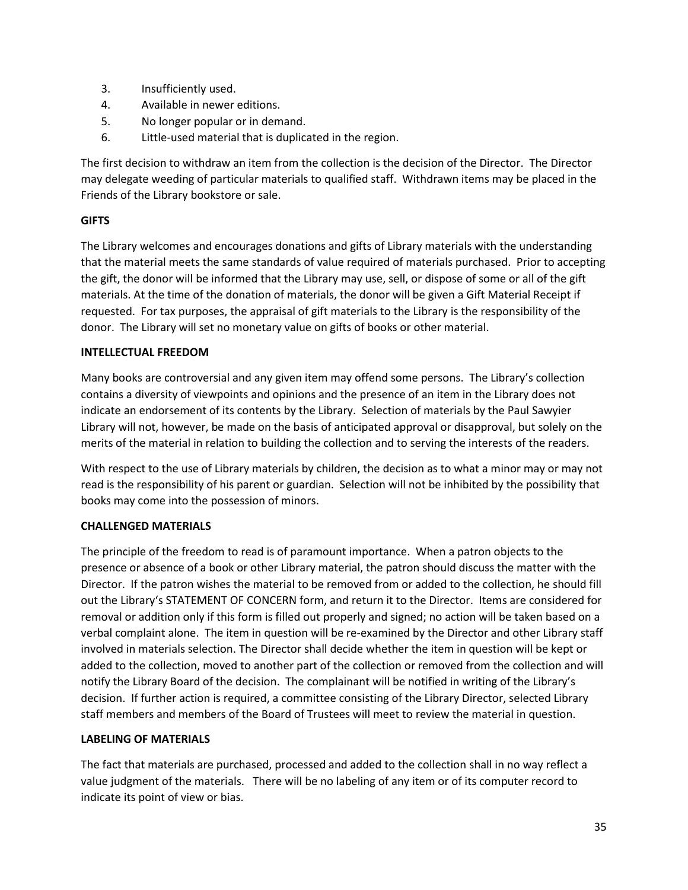- 3. Insufficiently used.
- 4. Available in newer editions.
- 5. No longer popular or in demand.
- 6. Little-used material that is duplicated in the region.

The first decision to withdraw an item from the collection is the decision of the Director. The Director may delegate weeding of particular materials to qualified staff. Withdrawn items may be placed in the Friends of the Library bookstore or sale.

### **GIFTS**

The Library welcomes and encourages donations and gifts of Library materials with the understanding that the material meets the same standards of value required of materials purchased. Prior to accepting the gift, the donor will be informed that the Library may use, sell, or dispose of some or all of the gift materials. At the time of the donation of materials, the donor will be given a Gift Material Receipt if requested. For tax purposes, the appraisal of gift materials to the Library is the responsibility of the donor. The Library will set no monetary value on gifts of books or other material.

### **INTELLECTUAL FREEDOM**

Many books are controversial and any given item may offend some persons. The Library's collection contains a diversity of viewpoints and opinions and the presence of an item in the Library does not indicate an endorsement of its contents by the Library. Selection of materials by the Paul Sawyier Library will not, however, be made on the basis of anticipated approval or disapproval, but solely on the merits of the material in relation to building the collection and to serving the interests of the readers.

With respect to the use of Library materials by children, the decision as to what a minor may or may not read is the responsibility of his parent or guardian. Selection will not be inhibited by the possibility that books may come into the possession of minors.

### **CHALLENGED MATERIALS**

The principle of the freedom to read is of paramount importance. When a patron objects to the presence or absence of a book or other Library material, the patron should discuss the matter with the Director. If the patron wishes the material to be removed from or added to the collection, he should fill out the Library's STATEMENT OF CONCERN form, and return it to the Director. Items are considered for removal or addition only if this form is filled out properly and signed; no action will be taken based on a verbal complaint alone. The item in question will be re-examined by the Director and other Library staff involved in materials selection. The Director shall decide whether the item in question will be kept or added to the collection, moved to another part of the collection or removed from the collection and will notify the Library Board of the decision. The complainant will be notified in writing of the Library's decision. If further action is required, a committee consisting of the Library Director, selected Library staff members and members of the Board of Trustees will meet to review the material in question.

### **LABELING OF MATERIALS**

The fact that materials are purchased, processed and added to the collection shall in no way reflect a value judgment of the materials. There will be no labeling of any item or of its computer record to indicate its point of view or bias.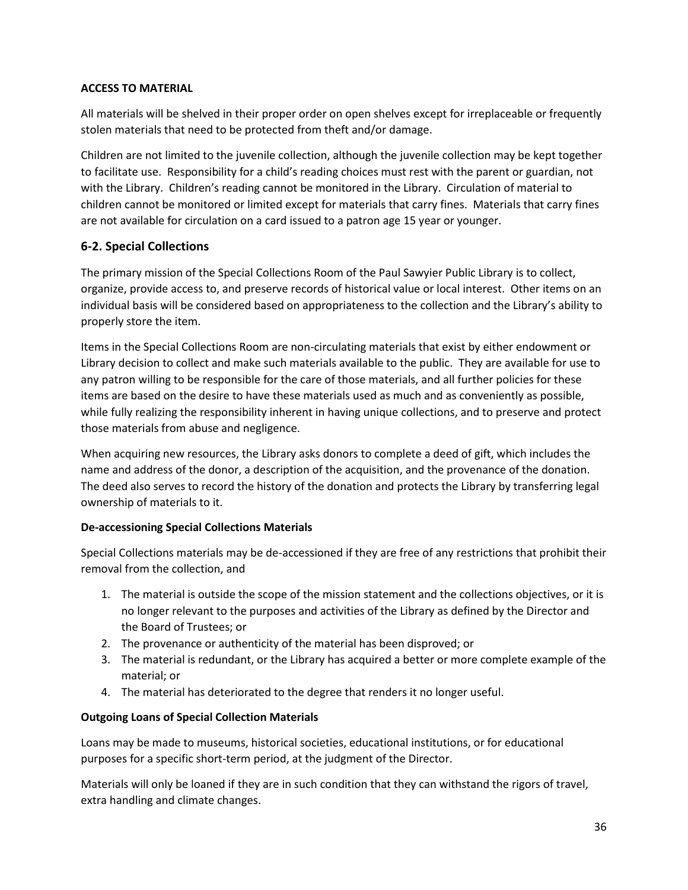### **ACCESS TO MATERIAL**

All materials will be shelved in their proper order on open shelves except for irreplaceable or frequently stolen materials that need to be protected from theft and/or damage.

Children are not limited to the juvenile collection, although the juvenile collection may be kept together to facilitate use. Responsibility for a child's reading choices must rest with the parent or guardian, not with the Library. Children's reading cannot be monitored in the Library. Circulation of material to children cannot be monitored or limited except for materials that carry fines. Materials that carry fines are not available for circulation on a card issued to a patron age 15 year or younger.

## **6-2. Special Collections**

The primary mission of the Special Collections Room of the Paul Sawyier Public Library is to collect, organize, provide access to, and preserve records of historical value or local interest. Other items on an individual basis will be considered based on appropriateness to the collection and the Library's ability to properly store the item.

Items in the Special Collections Room are non-circulating materials that exist by either endowment or Library decision to collect and make such materials available to the public. They are available for use to any patron willing to be responsible for the care of those materials, and all further policies for these items are based on the desire to have these materials used as much and as conveniently as possible, while fully realizing the responsibility inherent in having unique collections, and to preserve and protect those materials from abuse and negligence.

When acquiring new resources, the Library asks donors to complete a deed of gift, which includes the name and address of the donor, a description of the acquisition, and the provenance of the donation. The deed also serves to record the history of the donation and protects the Library by transferring legal ownership of materials to it.

### **De-accessioning Special Collections Materials**

Special Collections materials may be de-accessioned if they are free of any restrictions that prohibit their removal from the collection, and

- 1. The material is outside the scope of the mission statement and the collections objectives, or it is no longer relevant to the purposes and activities of the Library as defined by the Director and the Board of Trustees; or
- 2. The provenance or authenticity of the material has been disproved; or
- 3. The material is redundant, or the Library has acquired a better or more complete example of the material; or
- 4. The material has deteriorated to the degree that renders it no longer useful.

### **Outgoing Loans of Special Collection Materials**

Loans may be made to museums, historical societies, educational institutions, or for educational purposes for a specific short-term period, at the judgment of the Director.

Materials will only be loaned if they are in such condition that they can withstand the rigors of travel, extra handling and climate changes.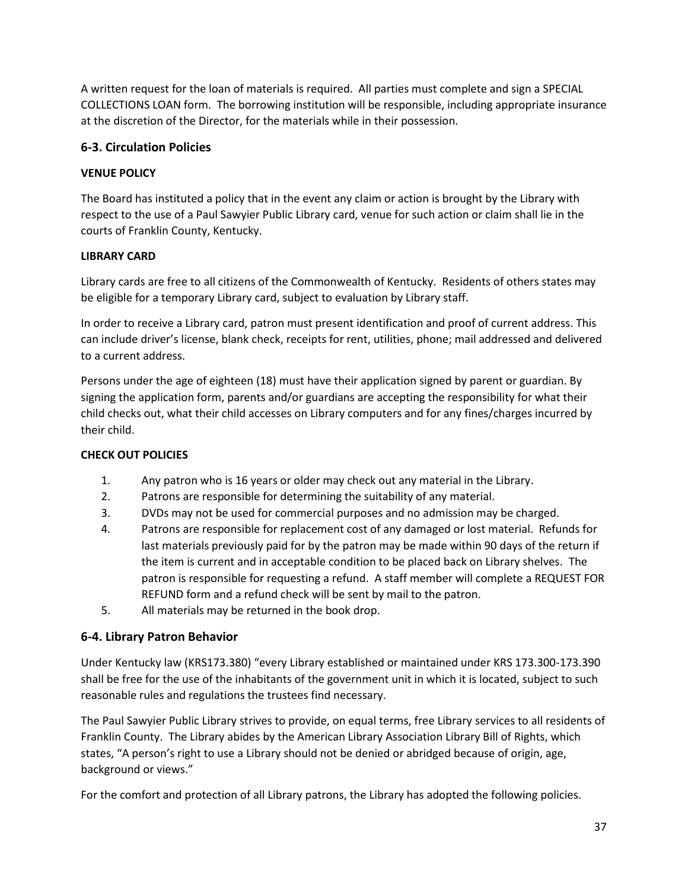A written request for the loan of materials is required. All parties must complete and sign a SPECIAL COLLECTIONS LOAN form. The borrowing institution will be responsible, including appropriate insurance at the discretion of the Director, for the materials while in their possession.

# **6-3. Circulation Policies**

# **VENUE POLICY**

The Board has instituted a policy that in the event any claim or action is brought by the Library with respect to the use of a Paul Sawyier Public Library card, venue for such action or claim shall lie in the courts of Franklin County, Kentucky.

# **LIBRARY CARD**

Library cards are free to all citizens of the Commonwealth of Kentucky. Residents of others states may be eligible for a temporary Library card, subject to evaluation by Library staff.

In order to receive a Library card, patron must present identification and proof of current address. This can include driver's license, blank check, receipts for rent, utilities, phone; mail addressed and delivered to a current address.

Persons under the age of eighteen (18) must have their application signed by parent or guardian. By signing the application form, parents and/or guardians are accepting the responsibility for what their child checks out, what their child accesses on Library computers and for any fines/charges incurred by their child.

# **CHECK OUT POLICIES**

- 1. Any patron who is 16 years or older may check out any material in the Library.
- 2. Patrons are responsible for determining the suitability of any material.
- 3. DVDs may not be used for commercial purposes and no admission may be charged.
- 4. Patrons are responsible for replacement cost of any damaged or lost material. Refunds for last materials previously paid for by the patron may be made within 90 days of the return if the item is current and in acceptable condition to be placed back on Library shelves. The patron is responsible for requesting a refund. A staff member will complete a REQUEST FOR REFUND form and a refund check will be sent by mail to the patron.
- 5. All materials may be returned in the book drop.

# **6-4. Library Patron Behavior**

Under Kentucky law (KRS173.380) "every Library established or maintained under KRS 173.300-173.390 shall be free for the use of the inhabitants of the government unit in which it is located, subject to such reasonable rules and regulations the trustees find necessary.

The Paul Sawyier Public Library strives to provide, on equal terms, free Library services to all residents of Franklin County. The Library abides by the American Library Association Library Bill of Rights, which states, "A person's right to use a Library should not be denied or abridged because of origin, age, background or views."

For the comfort and protection of all Library patrons, the Library has adopted the following policies.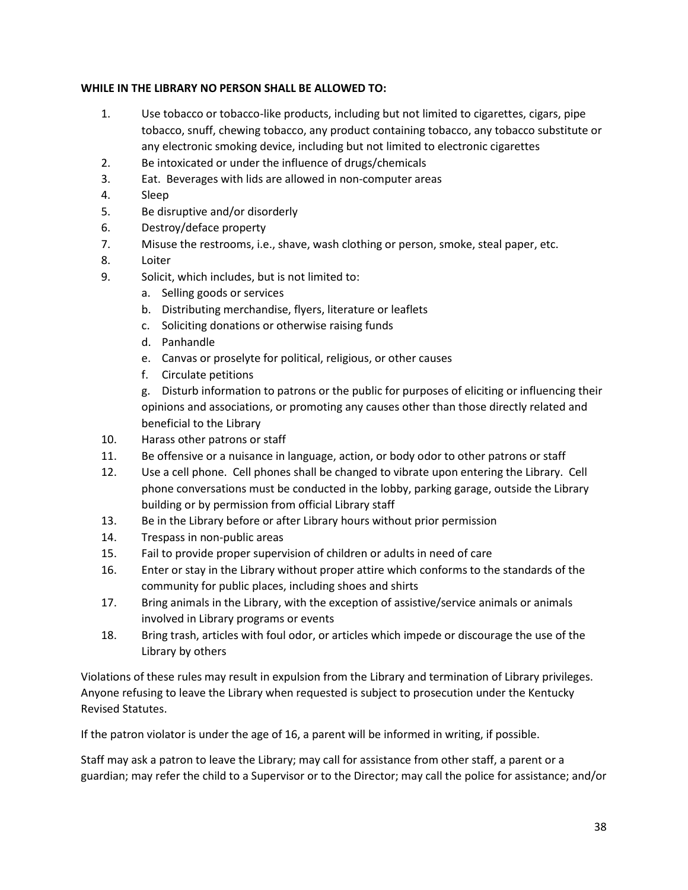### **WHILE IN THE LIBRARY NO PERSON SHALL BE ALLOWED TO:**

- 1. Use tobacco or tobacco-like products, including but not limited to cigarettes, cigars, pipe tobacco, snuff, chewing tobacco, any product containing tobacco, any tobacco substitute or any electronic smoking device, including but not limited to electronic cigarettes
- 2. Be intoxicated or under the influence of drugs/chemicals
- 3. Eat. Beverages with lids are allowed in non-computer areas
- 4. Sleep
- 5. Be disruptive and/or disorderly
- 6. Destroy/deface property
- 7. Misuse the restrooms, i.e., shave, wash clothing or person, smoke, steal paper, etc.
- 8. Loiter
- 9. Solicit, which includes, but is not limited to:
	- a. Selling goods or services
	- b. Distributing merchandise, flyers, literature or leaflets
	- c. Soliciting donations or otherwise raising funds
	- d. Panhandle
	- e. Canvas or proselyte for political, religious, or other causes
	- f. Circulate petitions

g. Disturb information to patrons or the public for purposes of eliciting or influencing their opinions and associations, or promoting any causes other than those directly related and beneficial to the Library

- 10. Harass other patrons or staff
- 11. Be offensive or a nuisance in language, action, or body odor to other patrons or staff
- 12. Use a cell phone. Cell phones shall be changed to vibrate upon entering the Library. Cell phone conversations must be conducted in the lobby, parking garage, outside the Library building or by permission from official Library staff
- 13. Be in the Library before or after Library hours without prior permission
- 14. Trespass in non-public areas
- 15. Fail to provide proper supervision of children or adults in need of care
- 16. Enter or stay in the Library without proper attire which conforms to the standards of the community for public places, including shoes and shirts
- 17. Bring animals in the Library, with the exception of assistive/service animals or animals involved in Library programs or events
- 18. Bring trash, articles with foul odor, or articles which impede or discourage the use of the Library by others

Violations of these rules may result in expulsion from the Library and termination of Library privileges. Anyone refusing to leave the Library when requested is subject to prosecution under the Kentucky Revised Statutes.

If the patron violator is under the age of 16, a parent will be informed in writing, if possible.

Staff may ask a patron to leave the Library; may call for assistance from other staff, a parent or a guardian; may refer the child to a Supervisor or to the Director; may call the police for assistance; and/or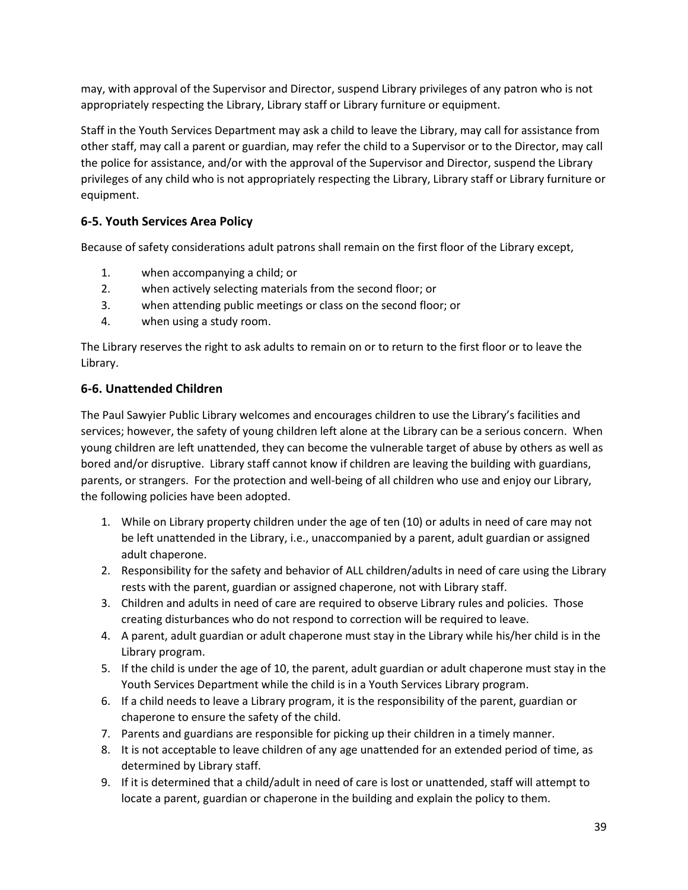may, with approval of the Supervisor and Director, suspend Library privileges of any patron who is not appropriately respecting the Library, Library staff or Library furniture or equipment.

Staff in the Youth Services Department may ask a child to leave the Library, may call for assistance from other staff, may call a parent or guardian, may refer the child to a Supervisor or to the Director, may call the police for assistance, and/or with the approval of the Supervisor and Director, suspend the Library privileges of any child who is not appropriately respecting the Library, Library staff or Library furniture or equipment.

# **6-5. Youth Services Area Policy**

Because of safety considerations adult patrons shall remain on the first floor of the Library except,

- 1. when accompanying a child; or
- 2. when actively selecting materials from the second floor; or
- 3. when attending public meetings or class on the second floor; or
- 4. when using a study room.

The Library reserves the right to ask adults to remain on or to return to the first floor or to leave the Library.

# **6-6. Unattended Children**

The Paul Sawyier Public Library welcomes and encourages children to use the Library's facilities and services; however, the safety of young children left alone at the Library can be a serious concern. When young children are left unattended, they can become the vulnerable target of abuse by others as well as bored and/or disruptive. Library staff cannot know if children are leaving the building with guardians, parents, or strangers. For the protection and well-being of all children who use and enjoy our Library, the following policies have been adopted.

- 1. While on Library property children under the age of ten (10) or adults in need of care may not be left unattended in the Library, i.e., unaccompanied by a parent, adult guardian or assigned adult chaperone.
- 2. Responsibility for the safety and behavior of ALL children/adults in need of care using the Library rests with the parent, guardian or assigned chaperone, not with Library staff.
- 3. Children and adults in need of care are required to observe Library rules and policies. Those creating disturbances who do not respond to correction will be required to leave.
- 4. A parent, adult guardian or adult chaperone must stay in the Library while his/her child is in the Library program.
- 5. If the child is under the age of 10, the parent, adult guardian or adult chaperone must stay in the Youth Services Department while the child is in a Youth Services Library program.
- 6. If a child needs to leave a Library program, it is the responsibility of the parent, guardian or chaperone to ensure the safety of the child.
- 7. Parents and guardians are responsible for picking up their children in a timely manner.
- 8. It is not acceptable to leave children of any age unattended for an extended period of time, as determined by Library staff.
- 9. If it is determined that a child/adult in need of care is lost or unattended, staff will attempt to locate a parent, guardian or chaperone in the building and explain the policy to them.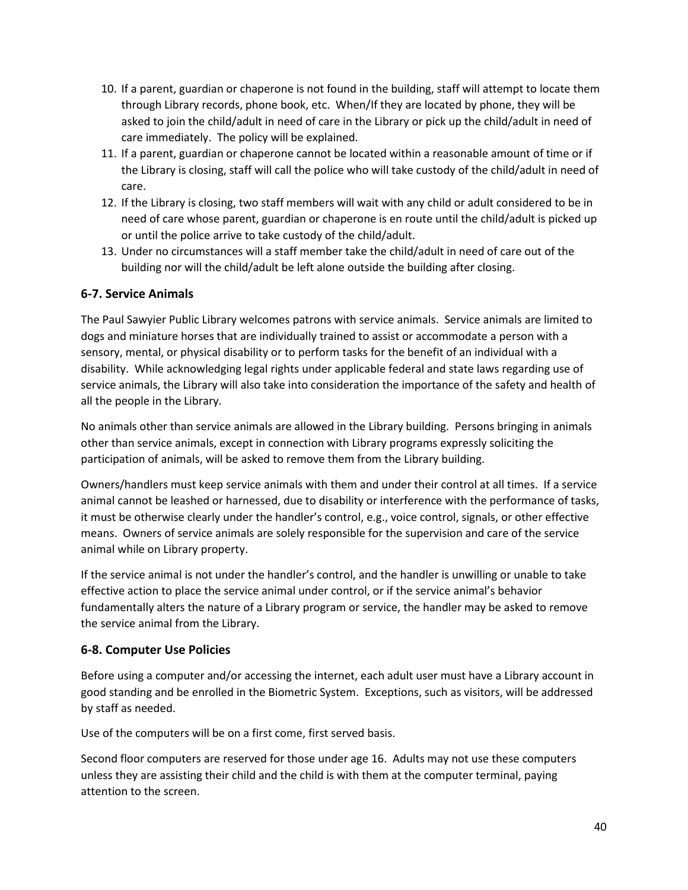- 10. If a parent, guardian or chaperone is not found in the building, staff will attempt to locate them through Library records, phone book, etc. When/If they are located by phone, they will be asked to join the child/adult in need of care in the Library or pick up the child/adult in need of care immediately. The policy will be explained.
- 11. If a parent, guardian or chaperone cannot be located within a reasonable amount of time or if the Library is closing, staff will call the police who will take custody of the child/adult in need of care.
- 12. If the Library is closing, two staff members will wait with any child or adult considered to be in need of care whose parent, guardian or chaperone is en route until the child/adult is picked up or until the police arrive to take custody of the child/adult.
- 13. Under no circumstances will a staff member take the child/adult in need of care out of the building nor will the child/adult be left alone outside the building after closing.

# **6-7. Service Animals**

The Paul Sawyier Public Library welcomes patrons with service animals. Service animals are limited to dogs and miniature horses that are individually trained to assist or accommodate a person with a sensory, mental, or physical disability or to perform tasks for the benefit of an individual with a disability. While acknowledging legal rights under applicable federal and state laws regarding use of service animals, the Library will also take into consideration the importance of the safety and health of all the people in the Library.

No animals other than service animals are allowed in the Library building. Persons bringing in animals other than service animals, except in connection with Library programs expressly soliciting the participation of animals, will be asked to remove them from the Library building.

Owners/handlers must keep service animals with them and under their control at all times. If a service animal cannot be leashed or harnessed, due to disability or interference with the performance of tasks, it must be otherwise clearly under the handler's control, e.g., voice control, signals, or other effective means. Owners of service animals are solely responsible for the supervision and care of the service animal while on Library property.

If the service animal is not under the handler's control, and the handler is unwilling or unable to take effective action to place the service animal under control, or if the service animal's behavior fundamentally alters the nature of a Library program or service, the handler may be asked to remove the service animal from the Library.

# **6-8. Computer Use Policies**

Before using a computer and/or accessing the internet, each adult user must have a Library account in good standing and be enrolled in the Biometric System. Exceptions, such as visitors, will be addressed by staff as needed.

Use of the computers will be on a first come, first served basis.

Second floor computers are reserved for those under age 16. Adults may not use these computers unless they are assisting their child and the child is with them at the computer terminal, paying attention to the screen.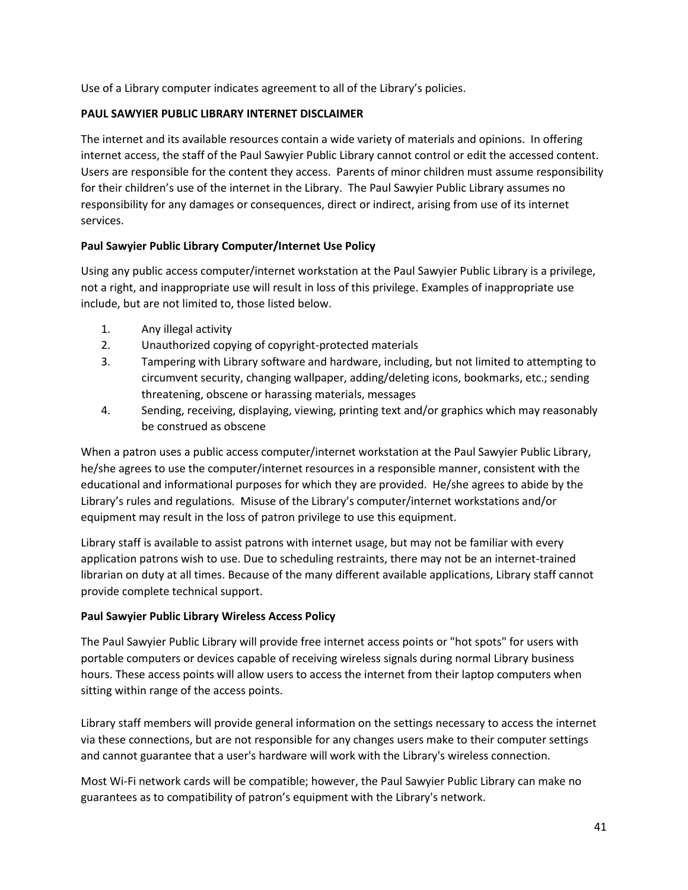Use of a Library computer indicates agreement to all of the Library's policies.

### **PAUL SAWYIER PUBLIC LIBRARY INTERNET DISCLAIMER**

The internet and its available resources contain a wide variety of materials and opinions. In offering internet access, the staff of the Paul Sawyier Public Library cannot control or edit the accessed content. Users are responsible for the content they access. Parents of minor children must assume responsibility for their children's use of the internet in the Library. The Paul Sawyier Public Library assumes no responsibility for any damages or consequences, direct or indirect, arising from use of its internet services.

### **Paul Sawyier Public Library Computer/Internet Use Policy**

Using any public access computer/internet workstation at the Paul Sawyier Public Library is a privilege, not a right, and inappropriate use will result in loss of this privilege. Examples of inappropriate use include, but are not limited to, those listed below.

- 1. Any illegal activity
- 2. Unauthorized copying of copyright-protected materials
- 3. Tampering with Library software and hardware, including, but not limited to attempting to circumvent security, changing wallpaper, adding/deleting icons, bookmarks, etc.; sending threatening, obscene or harassing materials, messages
- 4. Sending, receiving, displaying, viewing, printing text and/or graphics which may reasonably be construed as obscene

When a patron uses a public access computer/internet workstation at the Paul Sawyier Public Library, he/she agrees to use the computer/internet resources in a responsible manner, consistent with the educational and informational purposes for which they are provided. He/she agrees to abide by the Library's rules and regulations. Misuse of the Library's computer/internet workstations and/or equipment may result in the loss of patron privilege to use this equipment.

Library staff is available to assist patrons with internet usage, but may not be familiar with every application patrons wish to use. Due to scheduling restraints, there may not be an internet-trained librarian on duty at all times. Because of the many different available applications, Library staff cannot provide complete technical support.

### **Paul Sawyier Public Library Wireless Access Policy**

The Paul Sawyier Public Library will provide free internet access points or "hot spots" for users with portable computers or devices capable of receiving wireless signals during normal Library business hours. These access points will allow users to access the internet from their laptop computers when sitting within range of the access points.

Library staff members will provide general information on the settings necessary to access the internet via these connections, but are not responsible for any changes users make to their computer settings and cannot guarantee that a user's hardware will work with the Library's wireless connection.

Most Wi-Fi network cards will be compatible; however, the Paul Sawyier Public Library can make no guarantees as to compatibility of patron's equipment with the Library's network.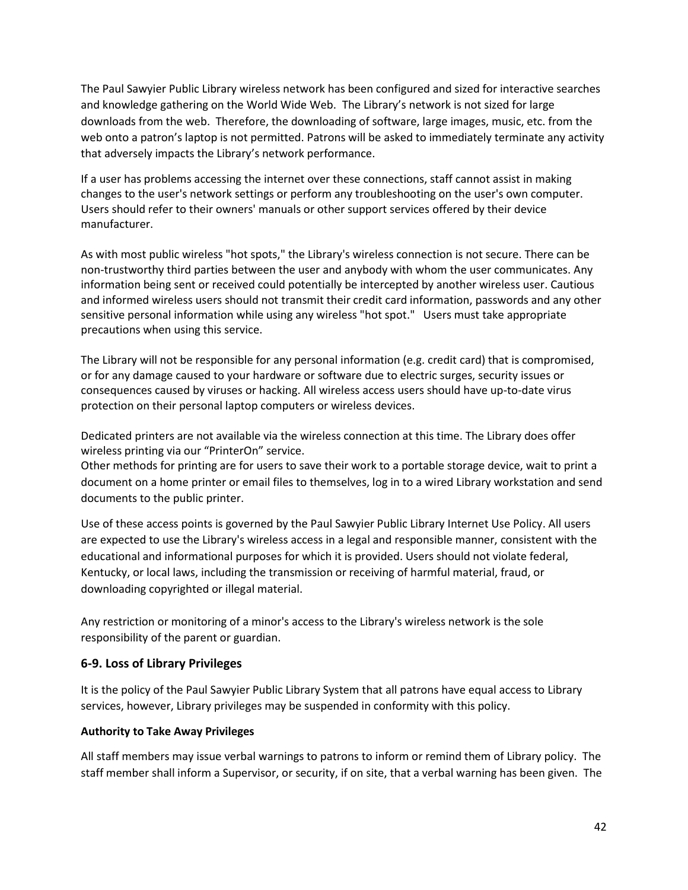The Paul Sawyier Public Library wireless network has been configured and sized for interactive searches and knowledge gathering on the World Wide Web. The Library's network is not sized for large downloads from the web. Therefore, the downloading of software, large images, music, etc. from the web onto a patron's laptop is not permitted. Patrons will be asked to immediately terminate any activity that adversely impacts the Library's network performance.

If a user has problems accessing the internet over these connections, staff cannot assist in making changes to the user's network settings or perform any troubleshooting on the user's own computer. Users should refer to their owners' manuals or other support services offered by their device manufacturer.

As with most public wireless "hot spots," the Library's wireless connection is not secure. There can be non-trustworthy third parties between the user and anybody with whom the user communicates. Any information being sent or received could potentially be intercepted by another wireless user. Cautious and informed wireless users should not transmit their credit card information, passwords and any other sensitive personal information while using any wireless "hot spot." Users must take appropriate precautions when using this service.

The Library will not be responsible for any personal information (e.g. credit card) that is compromised, or for any damage caused to your hardware or software due to electric surges, security issues or consequences caused by viruses or hacking. All wireless access users should have up-to-date virus protection on their personal laptop computers or wireless devices.

Dedicated printers are not available via the wireless connection at this time. The Library does offer wireless printing via our "PrinterOn" service.

Other methods for printing are for users to save their work to a portable storage device, wait to print a document on a home printer or email files to themselves, log in to a wired Library workstation and send documents to the public printer.

Use of these access points is governed by the Paul Sawyier Public Library Internet Use Policy. All users are expected to use the Library's wireless access in a legal and responsible manner, consistent with the educational and informational purposes for which it is provided. Users should not violate federal, Kentucky, or local laws, including the transmission or receiving of harmful material, fraud, or downloading copyrighted or illegal material.

Any restriction or monitoring of a minor's access to the Library's wireless network is the sole responsibility of the parent or guardian.

### **6-9. Loss of Library Privileges**

It is the policy of the Paul Sawyier Public Library System that all patrons have equal access to Library services, however, Library privileges may be suspended in conformity with this policy.

### **Authority to Take Away Privileges**

All staff members may issue verbal warnings to patrons to inform or remind them of Library policy. The staff member shall inform a Supervisor, or security, if on site, that a verbal warning has been given. The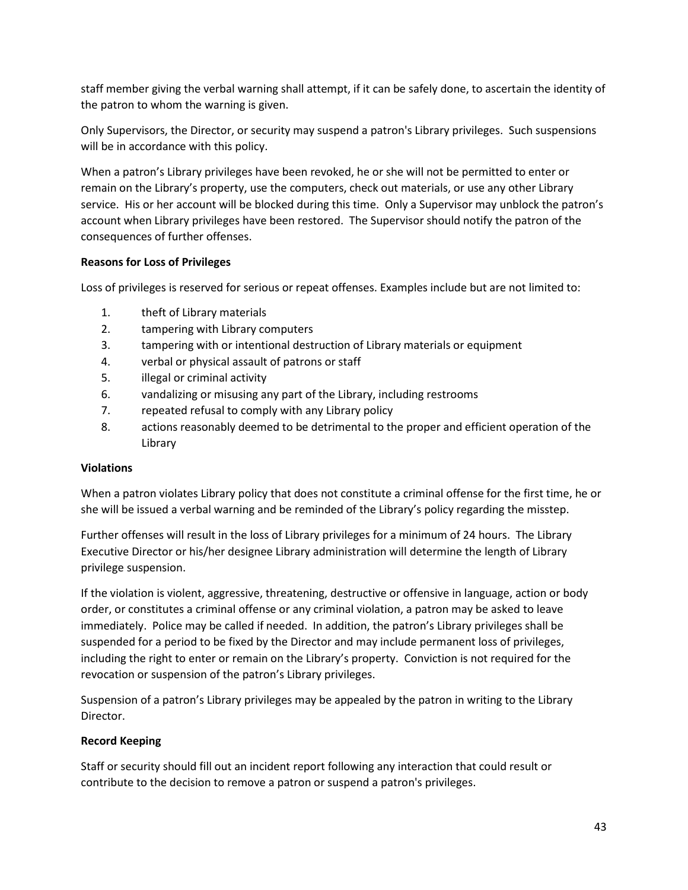staff member giving the verbal warning shall attempt, if it can be safely done, to ascertain the identity of the patron to whom the warning is given.

Only Supervisors, the Director, or security may suspend a patron's Library privileges. Such suspensions will be in accordance with this policy.

When a patron's Library privileges have been revoked, he or she will not be permitted to enter or remain on the Library's property, use the computers, check out materials, or use any other Library service. His or her account will be blocked during this time. Only a Supervisor may unblock the patron's account when Library privileges have been restored. The Supervisor should notify the patron of the consequences of further offenses.

### **Reasons for Loss of Privileges**

Loss of privileges is reserved for serious or repeat offenses. Examples include but are not limited to:

- 1. theft of Library materials
- 2. tampering with Library computers
- 3. tampering with or intentional destruction of Library materials or equipment
- 4. verbal or physical assault of patrons or staff
- 5. illegal or criminal activity
- 6. vandalizing or misusing any part of the Library, including restrooms
- 7. repeated refusal to comply with any Library policy
- 8. actions reasonably deemed to be detrimental to the proper and efficient operation of the Library

### **Violations**

When a patron violates Library policy that does not constitute a criminal offense for the first time, he or she will be issued a verbal warning and be reminded of the Library's policy regarding the misstep.

Further offenses will result in the loss of Library privileges for a minimum of 24 hours. The Library Executive Director or his/her designee Library administration will determine the length of Library privilege suspension.

If the violation is violent, aggressive, threatening, destructive or offensive in language, action or body order, or constitutes a criminal offense or any criminal violation, a patron may be asked to leave immediately. Police may be called if needed. In addition, the patron's Library privileges shall be suspended for a period to be fixed by the Director and may include permanent loss of privileges, including the right to enter or remain on the Library's property. Conviction is not required for the revocation or suspension of the patron's Library privileges.

Suspension of a patron's Library privileges may be appealed by the patron in writing to the Library Director.

### **Record Keeping**

Staff or security should fill out an incident report following any interaction that could result or contribute to the decision to remove a patron or suspend a patron's privileges.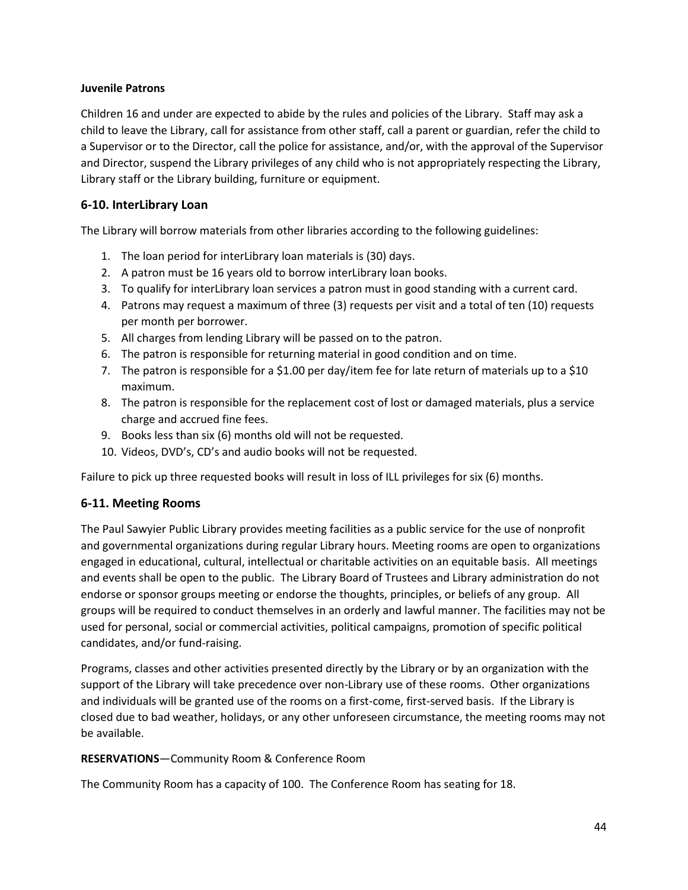### **Juvenile Patrons**

Children 16 and under are expected to abide by the rules and policies of the Library. Staff may ask a child to leave the Library, call for assistance from other staff, call a parent or guardian, refer the child to a Supervisor or to the Director, call the police for assistance, and/or, with the approval of the Supervisor and Director, suspend the Library privileges of any child who is not appropriately respecting the Library, Library staff or the Library building, furniture or equipment.

## **6-10. InterLibrary Loan**

The Library will borrow materials from other libraries according to the following guidelines:

- 1. The loan period for interLibrary loan materials is (30) days.
- 2. A patron must be 16 years old to borrow interLibrary loan books.
- 3. To qualify for interLibrary loan services a patron must in good standing with a current card.
- 4. Patrons may request a maximum of three (3) requests per visit and a total of ten (10) requests per month per borrower.
- 5. All charges from lending Library will be passed on to the patron.
- 6. The patron is responsible for returning material in good condition and on time.
- 7. The patron is responsible for a \$1.00 per day/item fee for late return of materials up to a \$10 maximum.
- 8. The patron is responsible for the replacement cost of lost or damaged materials, plus a service charge and accrued fine fees.
- 9. Books less than six (6) months old will not be requested.
- 10. Videos, DVD's, CD's and audio books will not be requested.

Failure to pick up three requested books will result in loss of ILL privileges for six (6) months.

### **6-11. Meeting Rooms**

The Paul Sawyier Public Library provides meeting facilities as a public service for the use of nonprofit and governmental organizations during regular Library hours. Meeting rooms are open to organizations engaged in educational, cultural, intellectual or charitable activities on an equitable basis. All meetings and events shall be open to the public. The Library Board of Trustees and Library administration do not endorse or sponsor groups meeting or endorse the thoughts, principles, or beliefs of any group. All groups will be required to conduct themselves in an orderly and lawful manner. The facilities may not be used for personal, social or commercial activities, political campaigns, promotion of specific political candidates, and/or fund-raising.

Programs, classes and other activities presented directly by the Library or by an organization with the support of the Library will take precedence over non-Library use of these rooms. Other organizations and individuals will be granted use of the rooms on a first-come, first-served basis. If the Library is closed due to bad weather, holidays, or any other unforeseen circumstance, the meeting rooms may not be available.

### **RESERVATIONS**—Community Room & Conference Room

The Community Room has a capacity of 100. The Conference Room has seating for 18.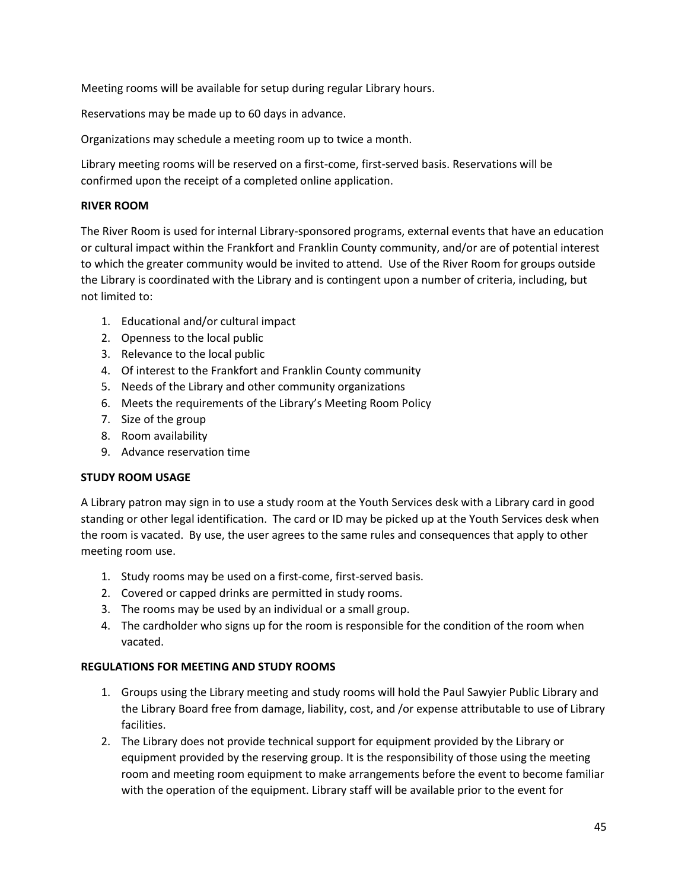Meeting rooms will be available for setup during regular Library hours.

Reservations may be made up to 60 days in advance.

Organizations may schedule a meeting room up to twice a month.

Library meeting rooms will be reserved on a first-come, first-served basis. Reservations will be confirmed upon the receipt of a completed online application.

### **RIVER ROOM**

The River Room is used for internal Library-sponsored programs, external events that have an education or cultural impact within the Frankfort and Franklin County community, and/or are of potential interest to which the greater community would be invited to attend. Use of the River Room for groups outside the Library is coordinated with the Library and is contingent upon a number of criteria, including, but not limited to:

- 1. Educational and/or cultural impact
- 2. Openness to the local public
- 3. Relevance to the local public
- 4. Of interest to the Frankfort and Franklin County community
- 5. Needs of the Library and other community organizations
- 6. Meets the requirements of the Library's Meeting Room Policy
- 7. Size of the group
- 8. Room availability
- 9. Advance reservation time

### **STUDY ROOM USAGE**

A Library patron may sign in to use a study room at the Youth Services desk with a Library card in good standing or other legal identification. The card or ID may be picked up at the Youth Services desk when the room is vacated. By use, the user agrees to the same rules and consequences that apply to other meeting room use.

- 1. Study rooms may be used on a first-come, first-served basis.
- 2. Covered or capped drinks are permitted in study rooms.
- 3. The rooms may be used by an individual or a small group.
- 4. The cardholder who signs up for the room is responsible for the condition of the room when vacated.

### **REGULATIONS FOR MEETING AND STUDY ROOMS**

- 1. Groups using the Library meeting and study rooms will hold the Paul Sawyier Public Library and the Library Board free from damage, liability, cost, and /or expense attributable to use of Library facilities.
- 2. The Library does not provide technical support for equipment provided by the Library or equipment provided by the reserving group. It is the responsibility of those using the meeting room and meeting room equipment to make arrangements before the event to become familiar with the operation of the equipment. Library staff will be available prior to the event for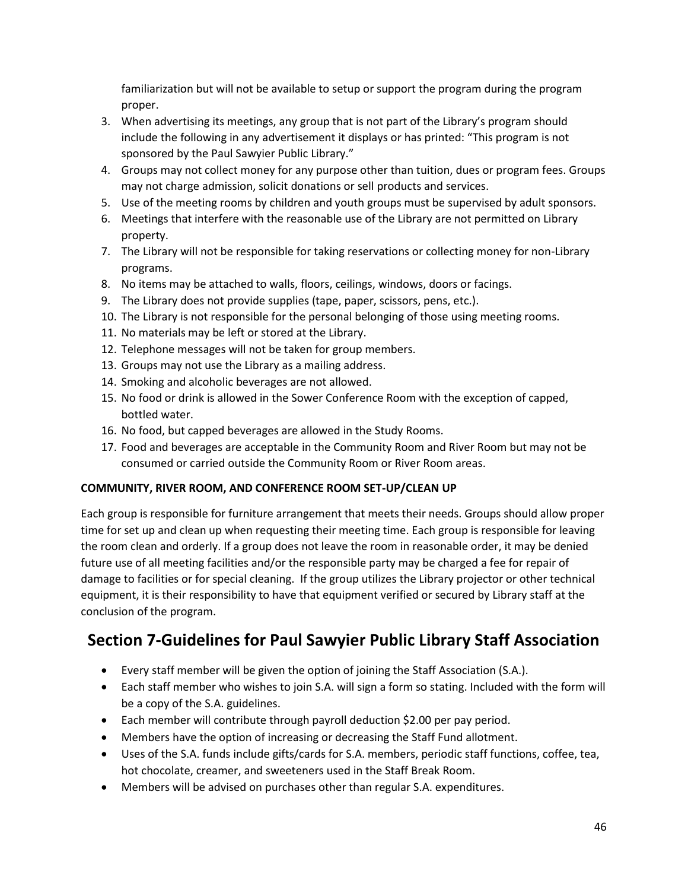familiarization but will not be available to setup or support the program during the program proper.

- 3. When advertising its meetings, any group that is not part of the Library's program should include the following in any advertisement it displays or has printed: "This program is not sponsored by the Paul Sawyier Public Library."
- 4. Groups may not collect money for any purpose other than tuition, dues or program fees. Groups may not charge admission, solicit donations or sell products and services.
- 5. Use of the meeting rooms by children and youth groups must be supervised by adult sponsors.
- 6. Meetings that interfere with the reasonable use of the Library are not permitted on Library property.
- 7. The Library will not be responsible for taking reservations or collecting money for non-Library programs.
- 8. No items may be attached to walls, floors, ceilings, windows, doors or facings.
- 9. The Library does not provide supplies (tape, paper, scissors, pens, etc.).
- 10. The Library is not responsible for the personal belonging of those using meeting rooms.
- 11. No materials may be left or stored at the Library.
- 12. Telephone messages will not be taken for group members.
- 13. Groups may not use the Library as a mailing address.
- 14. Smoking and alcoholic beverages are not allowed.
- 15. No food or drink is allowed in the Sower Conference Room with the exception of capped, bottled water.
- 16. No food, but capped beverages are allowed in the Study Rooms.
- 17. Food and beverages are acceptable in the Community Room and River Room but may not be consumed or carried outside the Community Room or River Room areas.

### **COMMUNITY, RIVER ROOM, AND CONFERENCE ROOM SET-UP/CLEAN UP**

Each group is responsible for furniture arrangement that meets their needs. Groups should allow proper time for set up and clean up when requesting their meeting time. Each group is responsible for leaving the room clean and orderly. If a group does not leave the room in reasonable order, it may be denied future use of all meeting facilities and/or the responsible party may be charged a fee for repair of damage to facilities or for special cleaning. If the group utilizes the Library projector or other technical equipment, it is their responsibility to have that equipment verified or secured by Library staff at the conclusion of the program.

# **Section 7-Guidelines for Paul Sawyier Public Library Staff Association**

- Every staff member will be given the option of joining the Staff Association (S.A.).
- Each staff member who wishes to join S.A. will sign a form so stating. Included with the form will be a copy of the S.A. guidelines.
- Each member will contribute through payroll deduction \$2.00 per pay period.
- Members have the option of increasing or decreasing the Staff Fund allotment.
- Uses of the S.A. funds include gifts/cards for S.A. members, periodic staff functions, coffee, tea, hot chocolate, creamer, and sweeteners used in the Staff Break Room.
- Members will be advised on purchases other than regular S.A. expenditures.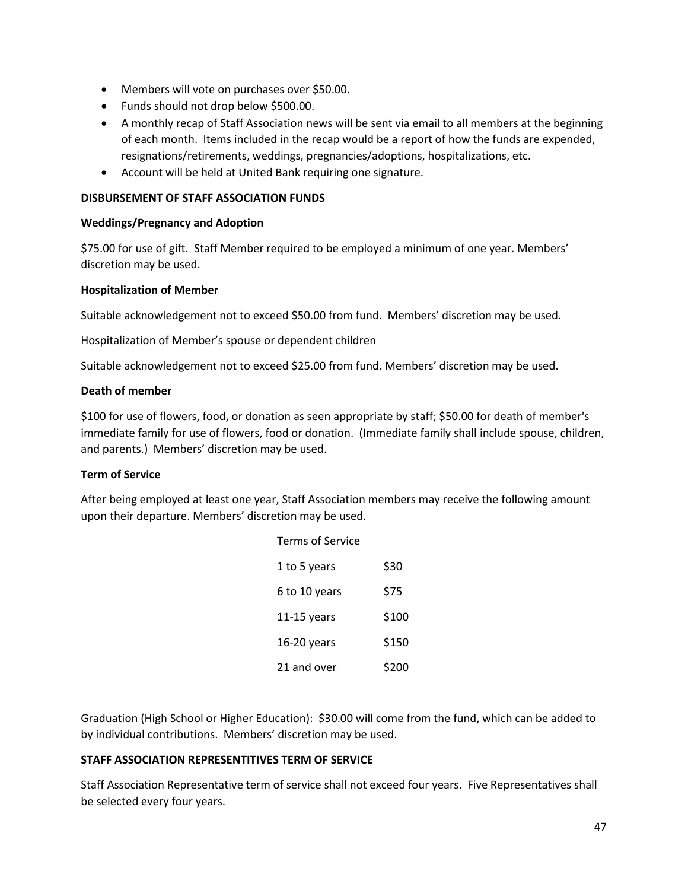- Members will vote on purchases over \$50.00.
- Funds should not drop below \$500.00.
- A monthly recap of Staff Association news will be sent via email to all members at the beginning of each month. Items included in the recap would be a report of how the funds are expended, resignations/retirements, weddings, pregnancies/adoptions, hospitalizations, etc.
- Account will be held at United Bank requiring one signature.

### **DISBURSEMENT OF STAFF ASSOCIATION FUNDS**

### **Weddings/Pregnancy and Adoption**

\$75.00 for use of gift. Staff Member required to be employed a minimum of one year. Members' discretion may be used.

### **Hospitalization of Member**

Suitable acknowledgement not to exceed \$50.00 from fund. Members' discretion may be used.

Hospitalization of Member's spouse or dependent children

Suitable acknowledgement not to exceed \$25.00 from fund. Members' discretion may be used.

### **Death of member**

\$100 for use of flowers, food, or donation as seen appropriate by staff; \$50.00 for death of member's immediate family for use of flowers, food or donation. (Immediate family shall include spouse, children, and parents.) Members' discretion may be used.

### **Term of Service**

After being employed at least one year, Staff Association members may receive the following amount upon their departure. Members' discretion may be used.

| <b>Terms of Service</b> |       |
|-------------------------|-------|
| 1 to 5 years            | \$30  |
| 6 to 10 years           | \$75  |
| $11-15$ years           | \$100 |
| 16-20 years             | \$150 |
| 21 and over             | \$200 |

Graduation (High School or Higher Education): \$30.00 will come from the fund, which can be added to by individual contributions. Members' discretion may be used.

### **STAFF ASSOCIATION REPRESENTITIVES TERM OF SERVICE**

Staff Association Representative term of service shall not exceed four years. Five Representatives shall be selected every four years.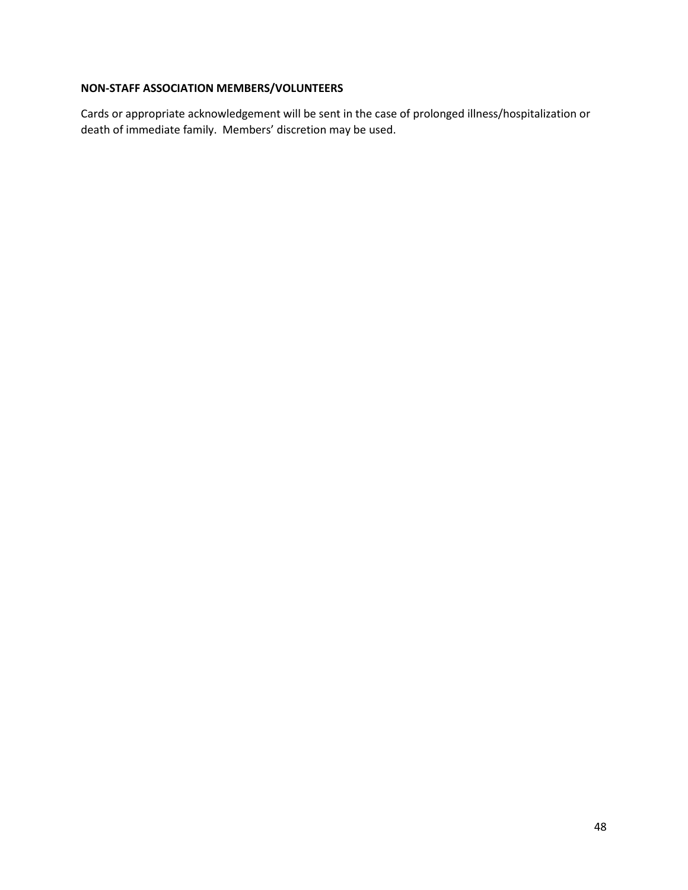## **NON-STAFF ASSOCIATION MEMBERS/VOLUNTEERS**

Cards or appropriate acknowledgement will be sent in the case of prolonged illness/hospitalization or death of immediate family. Members' discretion may be used.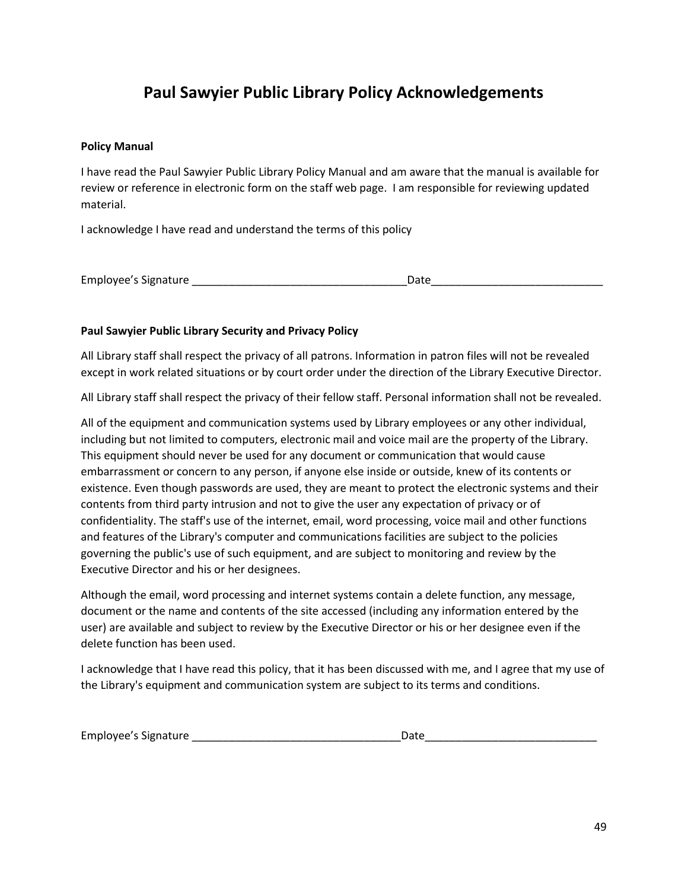# **Paul Sawyier Public Library Policy Acknowledgements**

### **Policy Manual**

I have read the Paul Sawyier Public Library Policy Manual and am aware that the manual is available for review or reference in electronic form on the staff web page. I am responsible for reviewing updated material.

I acknowledge I have read and understand the terms of this policy

|  | Employee's Signature |  |
|--|----------------------|--|
|--|----------------------|--|

### **Paul Sawyier Public Library Security and Privacy Policy**

All Library staff shall respect the privacy of all patrons. Information in patron files will not be revealed except in work related situations or by court order under the direction of the Library Executive Director.

All Library staff shall respect the privacy of their fellow staff. Personal information shall not be revealed.

All of the equipment and communication systems used by Library employees or any other individual, including but not limited to computers, electronic mail and voice mail are the property of the Library. This equipment should never be used for any document or communication that would cause embarrassment or concern to any person, if anyone else inside or outside, knew of its contents or existence. Even though passwords are used, they are meant to protect the electronic systems and their contents from third party intrusion and not to give the user any expectation of privacy or of confidentiality. The staff's use of the internet, email, word processing, voice mail and other functions and features of the Library's computer and communications facilities are subject to the policies governing the public's use of such equipment, and are subject to monitoring and review by the Executive Director and his or her designees.

Although the email, word processing and internet systems contain a delete function, any message, document or the name and contents of the site accessed (including any information entered by the user) are available and subject to review by the Executive Director or his or her designee even if the delete function has been used.

I acknowledge that I have read this policy, that it has been discussed with me, and I agree that my use of the Library's equipment and communication system are subject to its terms and conditions.

| Employee's Signature | า∽+ |  |
|----------------------|-----|--|
|----------------------|-----|--|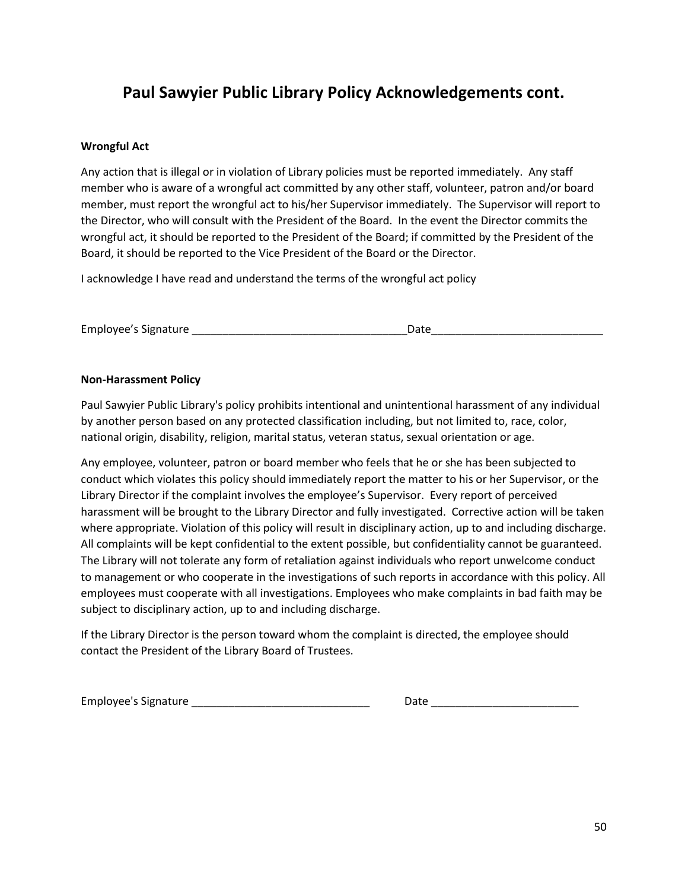# **Paul Sawyier Public Library Policy Acknowledgements cont.**

### **Wrongful Act**

Any action that is illegal or in violation of Library policies must be reported immediately. Any staff member who is aware of a wrongful act committed by any other staff, volunteer, patron and/or board member, must report the wrongful act to his/her Supervisor immediately. The Supervisor will report to the Director, who will consult with the President of the Board. In the event the Director commits the wrongful act, it should be reported to the President of the Board; if committed by the President of the Board, it should be reported to the Vice President of the Board or the Director.

I acknowledge I have read and understand the terms of the wrongful act policy

Employee's Signature and the state of the state of the Date of the State of the State of the State of the State of the State of the State of the State of the State of the State of the State of the State of the State of the

### **Non-Harassment Policy**

Paul Sawyier Public Library's policy prohibits intentional and unintentional harassment of any individual by another person based on any protected classification including, but not limited to, race, color, national origin, disability, religion, marital status, veteran status, sexual orientation or age.

Any employee, volunteer, patron or board member who feels that he or she has been subjected to conduct which violates this policy should immediately report the matter to his or her Supervisor, or the Library Director if the complaint involves the employee's Supervisor. Every report of perceived harassment will be brought to the Library Director and fully investigated. Corrective action will be taken where appropriate. Violation of this policy will result in disciplinary action, up to and including discharge. All complaints will be kept confidential to the extent possible, but confidentiality cannot be guaranteed. The Library will not tolerate any form of retaliation against individuals who report unwelcome conduct to management or who cooperate in the investigations of such reports in accordance with this policy. All employees must cooperate with all investigations. Employees who make complaints in bad faith may be subject to disciplinary action, up to and including discharge.

If the Library Director is the person toward whom the complaint is directed, the employee should contact the President of the Library Board of Trustees.

| <b>Employee's Signature</b> | Date |  |
|-----------------------------|------|--|
|                             |      |  |